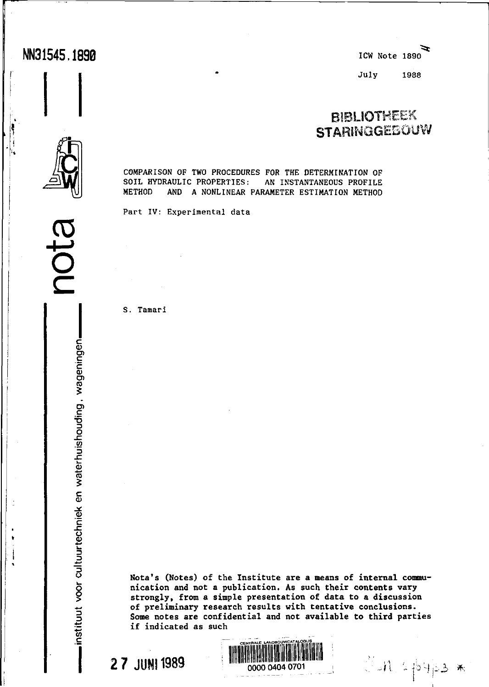### **NN31545.1890**

ICW Note 1890

July 1988

### **BIBLIOTHEEK STARINQGEBOUW**

COMPARISON OF TWO PROCEDURES FOR THE DETERMINATION OF SOIL HYDRAULIC PROPERTIES: AN INSTANTANEOUS PROFILE SOIL HYDRAULIC PROPERTIES:<br>METHOD AND A NONLINEAR P AND A NONLINEAR PARAMETER ESTIMATION METHOD

Part IV: Experimental data

S. Tamari

**Nota's (Notes) of the Institute are a means of internal communication and not a publication. As such their contents vary strongly, from a simple presentation of data to a discussion of preliminary research results with tentative conclusions. Some notes are confidential and not available to third parties if indicated as such** 





**CO** 

**o** 

<u>ნ</u><br>ഇ **c**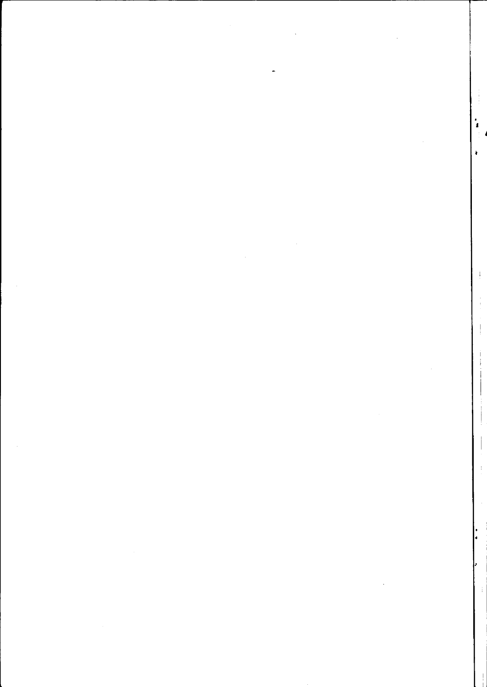$\mathbf{r}$ 

 $\label{eq:2.1} \mathcal{L}(\mathcal{L}) = \mathcal{L}(\mathcal{L}) \mathcal{L}(\mathcal{L}) = \mathcal{L}(\mathcal{L}) \mathcal{L}(\mathcal{L})$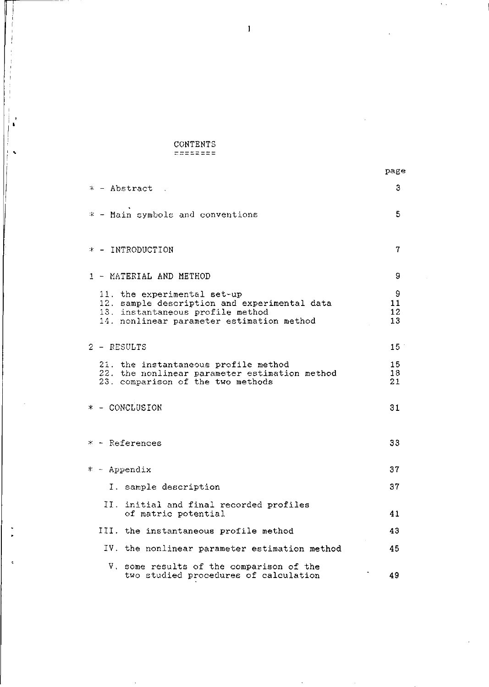### CONTENTS<br>========

J

 $\frac{1}{2}$  $\frac{1}{2}$  $\frac{1}{4}$  $\mathbf{i}$ J.  $\frac{1}{2}$  $\frac{1}{2}$  $\frac{1}{2}$ 

 $\frac{1}{2}$  . | I

 $\parallel$ 

 $\bullet$ 

 $\hat{\mathbf{z}}$ 

| $*$ - Abstract                                                                                                                                               | 3                   |
|--------------------------------------------------------------------------------------------------------------------------------------------------------------|---------------------|
| $*$ - Main symbols and conventions                                                                                                                           | 5                   |
| * - INTRODUCTION                                                                                                                                             | 7                   |
| 1 - MATERIAL AND METHOD                                                                                                                                      | 9                   |
| 11. the experimental set-up<br>12. sample description and experimental data<br>13. instantaneous profile method<br>14. nonlinear parameter estimation method | 9<br>11<br>12<br>13 |
| 2 - RESULTS                                                                                                                                                  | 15.                 |
| 21. the instantaneous profile method<br>22. the nonlinear parameter estimation method<br>23. comparison of the two methods                                   | 15<br>18<br>21      |
| * - CONCLUSION                                                                                                                                               | 31                  |
| $*$ - References                                                                                                                                             | 33                  |
| * - Appendix                                                                                                                                                 | 37                  |
| I. sample description                                                                                                                                        | 37                  |
| II. initial and final recorded profiles<br>of matric potential                                                                                               | 41                  |
| III. the instantaneous profile method                                                                                                                        | 43                  |
| IV. the nonlinear parameter estimation method                                                                                                                | 45                  |
| V. some results of the comparison of the<br>two studied procedures of calculation                                                                            | 49                  |

 $\ddot{\phantom{0}}$ 

 $\mathbf{I}$ 

page

 $\sim$ 

 $\mathbb{Z}^2$ 

 $\tau_{\rm{max}}$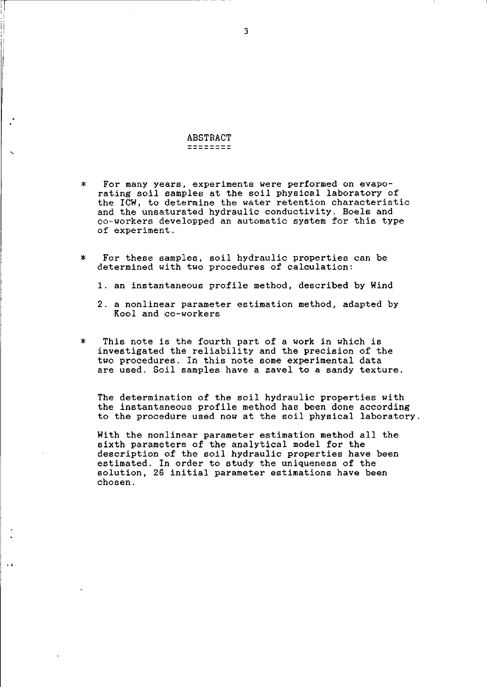### ABSTRACT<br>========

- $\star$ For many years, experiments were performed on evaporating soil samples at the soil physical laboratory of the ICW, to determine the water retention characteristic and the unsaturated hydraulic conductivity. Boels and co-workers developped an automatic system for this type of experiment.
- \* For these samples, soil hydraulic properties can be determined with two procedures of calculation:
	- 1. an instantaneous profile method, described by Wind
	- 2. a nonlinear parameter estimation method, adapted by Kool and co-workers
- \* This note is the fourth part of a work in which is investigated the reliability and the precision of the two procedures. In this note some experimental data are used. Soil samples have a zavel to a sandy texture.

The determination of the soil hydraulic properties with the instantaneous profile method has been done according to the procedure used now at the soil physical laboratory.

With the nonlinear parameter estimation method sixth parameters of the analytical model description of the soil hydraulic properties ha estimated. In order to study the uniqueness of the solution, 26 initial parameter estimations have been chosen.

 $\ddot{\phantom{2}}$ 

 $\overline{3}$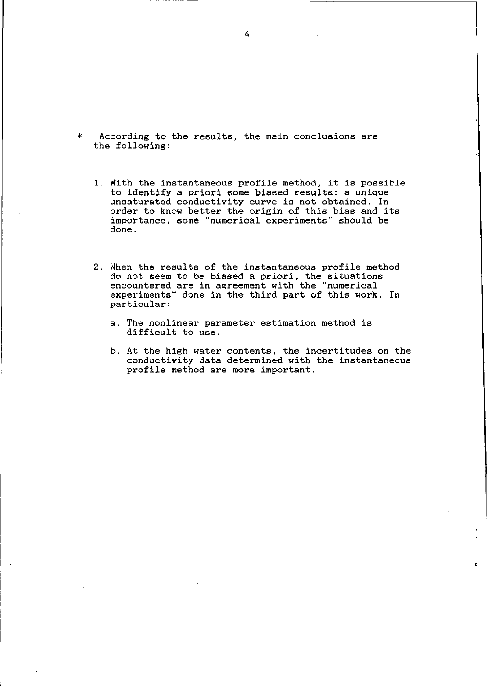\* According to the results, the main conclusions are the following:

- 1. With the instantaneous profile method, it is possible to identify a priori some biased results: a unique unsaturated conductivity curve is not obtained. In order to know better the origin of this bi importance, some "numerical experiments" shou done.
- 2. When the results of the instantaneous profile method do not seem to be biased a priori, the  $\epsilon$ encount<mark>ered are in agreement with the "num</mark> experiments" done in the third part of this work. In particular:
	- a. The nonlinear parameter estimation method is difficult to use.
	- b. At the high water contents, the incertitudes on the conductivity data determined with the instantaneous profile method are more important.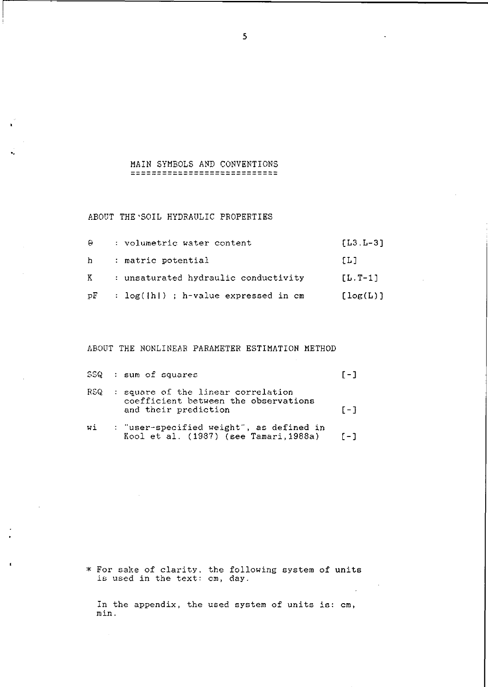### MAIN SYMBOLS AND CONVENTIONS

### ABOUT THE »SOIL HYDRAULIC PROPERTIES

| Θ. | : volumetric water content                   | $[L3.L-3]$                    |
|----|----------------------------------------------|-------------------------------|
|    | h : matric potential                         | T L T                         |
|    | K : unsaturated hydraulic conductivity       | $\lceil L \cdot T - 1 \rceil$ |
|    | $pF$ : $log(  h )$ ; h-value expressed in cm | [log(L)]                      |

ABOUT THE NONLINEAR PARAMETER ESTIMATION METHOD

|  | $SSQ$ : sum of squares                                                                                 | $F - 1$ |
|--|--------------------------------------------------------------------------------------------------------|---------|
|  | RSQ : square of the linear correlation<br>coefficient between the observations<br>and their prediction | $F - 1$ |
|  | wi : "user-specified weight", as defined in<br>Kool et al. (1937) (see Tamari, 1988a) [-]              |         |

\* For sake of clarity, the following system of units is used in the text: cm, day.

 $\mathcal{L}(\mathbf{z})$ 

 $\pmb{\epsilon}$ 

In the appendix, the used system of units is: cm, min.

 $\overline{5}$ 

 $\ddot{\phantom{a}}$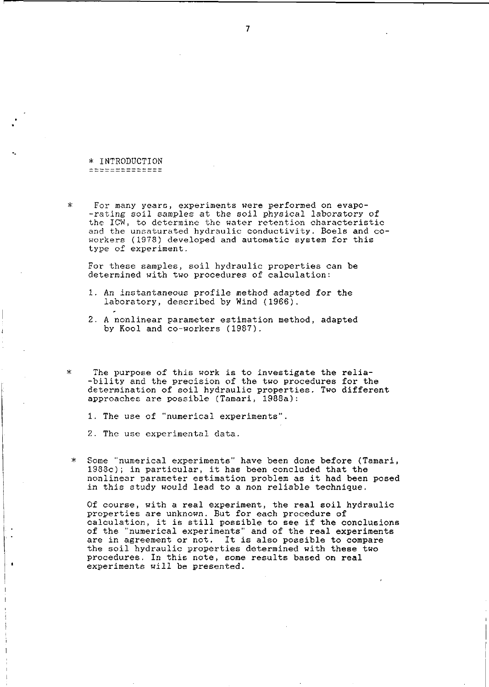### \* INTRODUCTION

 $\ast$ 

 $\star$ 

For many years, experiments were performed on evapo- -rating soil samples at the soil physical laboratory of the ICW, to determine the water retention characteristic and the unsaturated hydraulic conductivity. Boels and coworkers (1978) developed and automatic system for this type of experiment.

For these samples, soil hydraulic properties determined with two procedures of calcula

- 1. An instantaneous profile method adapted for the laboratory, described by Wind (1966).
- 2. A nonlinear parameter estimation method, adapted by Kool and co-workers (1987).
- The purpose of this work is to investigate the relia- -bility and the precision of the two procedures for the determination of soil hydraulic properties. Two different approaches are possible (Tamari, 1988a):
	- 1. The use of "numerical experiments".
	- 2. The use experimental data.
- \* Some "numerical experiments" have been done before (Tamari, 1988c); in particular, it has been concluded that the nonlinear parameter estimation problem as it had been posed in this study would lead to a non reliable technique.

Of course, with a real experiment, the real soil hydraulic properties are unknown. But for each procedure of calculation, it is still possible to see if the conclusions of the "numerical experiments" and of the real experiments are in agreement or not. It is also possible to compare the soil hydraulic properties determined with these two procedures. In this note, some results based on real experiments will be presented.

 $\overline{7}$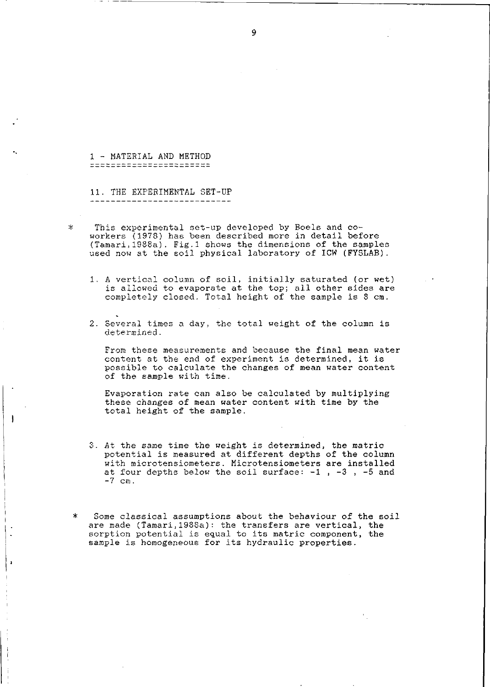1 - MATERIAL AND METHOD<br>=======================

₿

11. THE EXPERIMENTAL SET-UP ----------------------------

- \* This experimental set-up developed by Boels and coworkers (1978) has been described more in detail before (Tamari,1988a). Fig.1 shows the dimensions of the samples used now at the soil physical laboratory of ICW (FYSLAB).
	- 1. A vertical column of soil, initially saturated is allowed to evaporate at the top; all other completely closed. Total height of the sample
	- 2. Several times a day, the total weight of the column is determined.

From these measurements and because the final mean water content at the end of experiment is determined, it is possible to calculate the changes of mean water content of the sample with time.

Evaporation rate can also be calculated by multiplying these changes of mean water content with time by the total height of the sample.

- At the same time the weight is determined, the matric potential is measured at different depths of the column with microtensiometers. Microtensiometers are installed at four depths below the soil surface:  $-1$ ,  $-3$ ,  $-5$  and  $-7$  cm.
- Some classical assumptions about the behaviour of the soil are made (Tamari,198Sa): the transfers are vertical, the sorption potential is equal to its matric component, the sample is homogeneous for its hydraulic properties.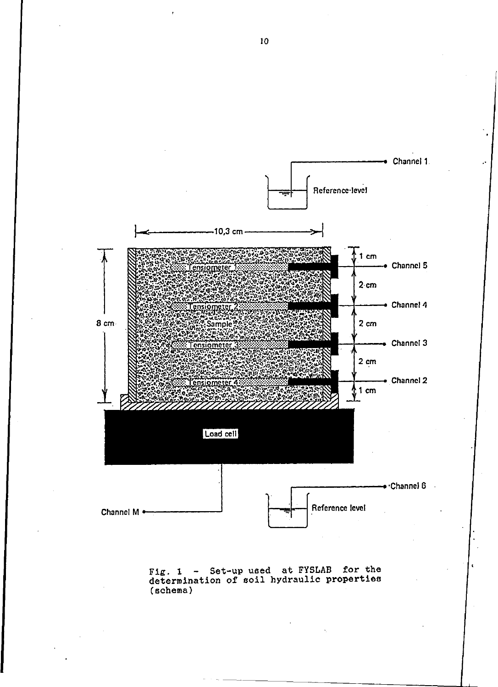

Fig. 1 - Set-up used at  $\texttt{FYSLAB}$ determination of soil hydraulic proper (schema)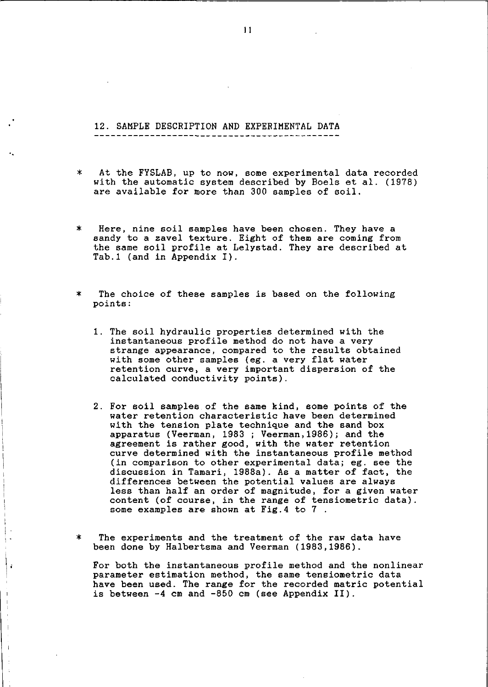12. SAMPLE DESCRIPTION AND EXPERIMENTAL DATA

- \* At the FYSLAB, up to now, some experimental data recorded with the automatic system described by Boels et al. (1978) are available for more than 300 samples of soil.
- $\ast$ Here, nine soil samples have been chosen. They have a sandy to a zavel texture. Eight of them are o the same soil profile at Lelystad. They are des  ${\tt Tab.1}$  (and in Appendix
- The choice of these samples is based on the following points :
	- 1. The soil hydraulic properties determined with the instantaneous profile method do not have a very strange appearance, compared to the results obtained with some other samples (eg. a very flat water retention curve, a very important dispersion of the calculated conductivity points).
	- For soil samples of the same kind, some points of the water retention characteristic have been determined with the tension plate technique and the sand box apparatus (Veerman, 1983 ; Veerman,1986); and the agreement is rather good, with the water retention curve determined with the instantaneous profile method (in comparison to other experimental data; eg. see the discussion in Tamari, 1988a). As a matter of fact, the differences between the potential values are always less than half an order of magnitude, for a  $\epsilon$ content (of course, in the range of tensiometric  $\alpha$ ) some examples are shown at Fig.4 to 7 .
- $\star$ The experiments and the treatment of the raw data have been done by Halbertsma and Veerman (1983,1986).

For both the instantaneous profile method and the nonlinear parameter estimation method, the same tensiometric data have been used. The range for the recorded matric potential is between -4 cm and -850 cm (see Appendix II).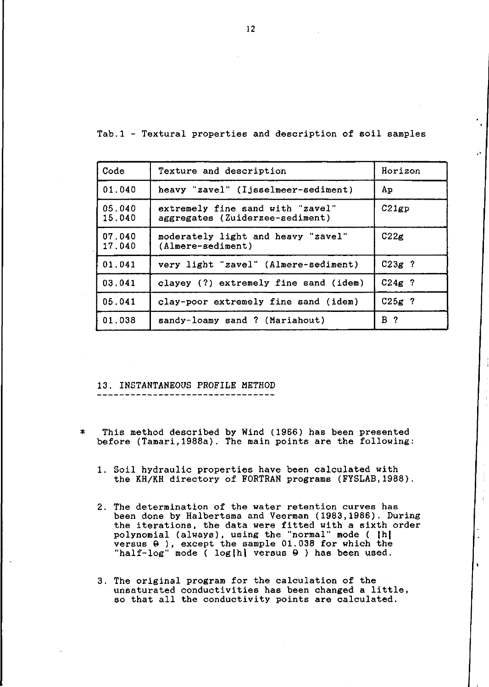Tab.l - Textural properties and description of soil samples

| Code             | Texture and description                                             | Horizon  |
|------------------|---------------------------------------------------------------------|----------|
| 01.040           | heavy "zavel" (Ijsselmeer-sediment)                                 | Ap       |
| 05.040<br>15.040 | extremely fine sand with "zavel"<br>aggregates (Zuiderzee-sediment) | C21gp    |
| 07.040<br>17.040 | moderately light and heavy "zavel"<br>(Almere-sediment)             | C22g     |
| 01.041           | very light "zavel" (Almere-sediment)                                | $C23g$ ? |
| 03.041           | clayey (?) extremely fine sand (idem)                               | $C24g$ ? |
| 05.041           | clay-poor extremely fine sand (idem)                                | $C25g$ ? |
| 01.038           | sandy-loamy sand ? (Mariahout)                                      | $B$ ?    |

### 13. INSTANTANEOUS PROFILE METHOD

- \* This method described by Wind (1966) has been presented before (Tamari,1988a). The main points are the following:
	- 1. Soil hydraulic properties have been calculated with the KH/KH directory of FORTRAN programs (FYSLAB,1988)
	- 2. The determination of the water retention curves has been done by Halbertsma and Veerman (1983,1986). During the iterations, the data were fitted with a sixth order polynomial (always), using the "normal" mod versus  $\Theta$  ), except the sample 01.038 for "half-log" mode (  $log|h|$  versus  $\Theta$  ) has b
	- 3. The original program for the calculation of the unsaturated conductivities has been changed a little, so that all the conductivity points are calculated.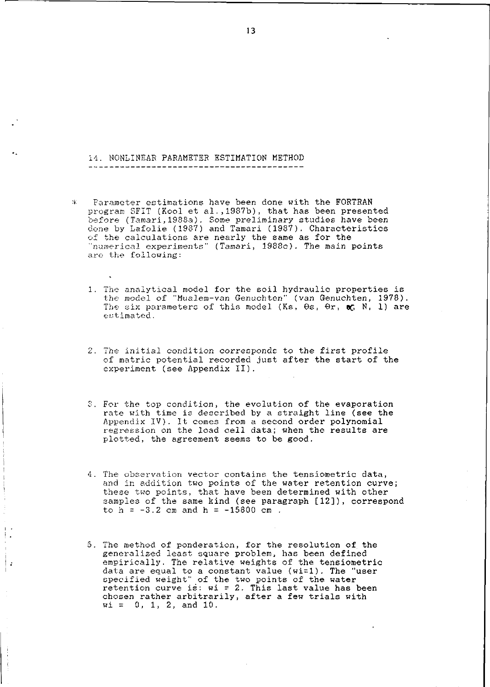14. NONLINEAR PARAMETER ESTIMATION METHOD

- $\infty$ Parameter estimations have been done with the FORTRAN program SFIT (Kool et al.,1987b), that has been presented before (Tamari,1988a). Some preliminary studies hav done by Lafolie (1987) and Tamari (1987). Characte of the calculations are nearly the same as for the "numerical experiments" (Tamari, 1988c). The main points are the following:
	- The analytical model for the soil hydraulic prope the model of "Mualem-van Genuchten" (van Genuchten, The six parameters of this model (Ks,  $\Theta$ s,  $\Theta$ r,  $\Gamma$ estimated.
	- 2. The initial condition corresponds to the first profile of matric potential recorded just after the start of the experiment (see Appendix II).
	- For the top condition, the evolution of the evaporation rate with time is described by a straight line (see the Appendix IV). It comes from a second order po regression on the load cell data; when the re plotted, the agreement seems to be good.
	- 4. The observation vector contains the tensiometric data, and in addition two points of the water retention curve; these two points, that have been determined with other samples of the same kind (see paragraph [12]), correspond to h =  $-3.2$  cm and h =  $-15800$  cm.
	- 5. The method of ponderation, for the resolution of the generalised least square problem, has been defined empirically. The relative weights of the tensiometric data are equal to a constant value (wi=1). specified weight" of the two points of t retention curve is:  $wi = 2$ . This last value has been chosen rather arbitrarily, after a few trials with  $w_i = 0, 1, 2, and 10.$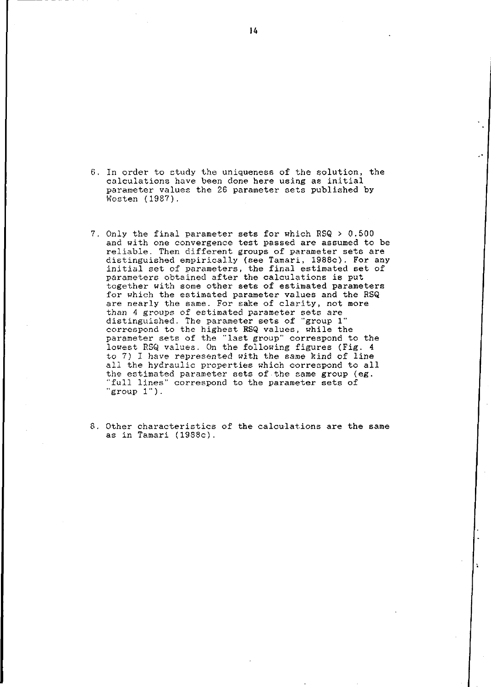- 6. In order to study the uniqueness of the solution, the calculations have been done here using as initial parameter values the 26 parameter sets published by Wosten (1987).
- Only the final parameter sets for which RSQ > 0.500 and with one convergence test passed are assu reliable. Then different groups of parameter s distinguished empirically (see Tamari, 1988c). For any initial set of parameters, the final estimate parameters obtained after the calculations together with some other sets of estimated parameters for which the estimated parameter values and the RSQ are nearly the same. For sake of clarity, not more than 4 groups of estimated parameter s distinguished. The parameter sets of "gr correspond to the highest RSQ values, wh parameter sets of the "last group" correspon .<br>lowest RSQ values. On the following figures to 7) I have represented with the same kind of line all the hydraulic properties which correspond to all the estimated parameter sets of the same group (eg. "full lines" correspond to the parameter sets of "group 1").
- 8. Other characteristics of the calculations are the same as in Tamari (1988c).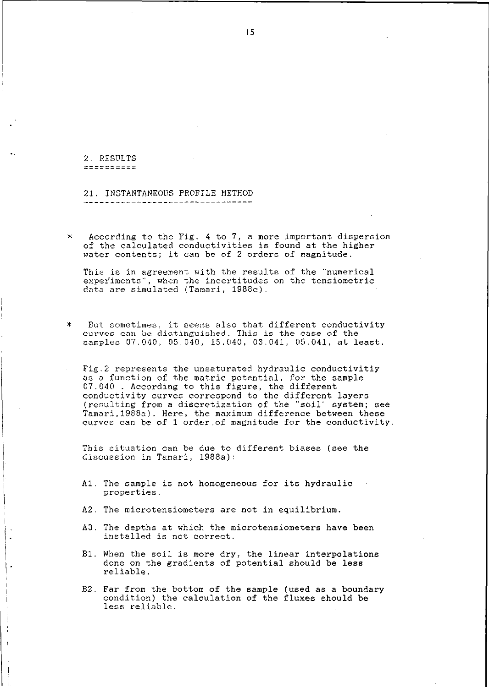2. RESULTS

21. INSTANTANEOUS PROFILE METHOD

\* According to the Fig. 4 to 7, a more important dispersion of the calculated conductivities is found at the higher water contents; it can be of 2 orders of magnitude.

This is in agreement with the results of the "numerical experiments", when the incertitudes on the tensiometric data are simulated (Tamari, 1988c).

 $\ast$  - But sometimes, it seems also that different cond curves can be distinguished. This is the ca samples 07.040., 05.040, 15.040, 03.041, 05.041, at least.

Fig.2 represents the unsaturated hydraulic conductivitiy as a function of the matric potential, for the sample 07.040 . According to this figure, the different conductivity curves correspond to the different layers (resulting from a discretization of the "soil" system; see Tamari,1988a). Here, the maximum difference between these curves can be of 1 order.of magnitude for the conductivity.

This situation can be due to different biases (see the discussion in Tamari, 1988a):

- Al. The sample is not homogeneous for its hydraulic properties.
- A2. The microtensiometers are not in equilibrium.
- A3. The depths at which the microtensiometers have been installed is not correct.
- Bl. When the soil is more dry, the linear interpolations done on the gradients of potential should be less reliable.
- B2. Far from the bottom of the sample (used as a boundary condition) the calculation of the fluxes should be less reliable.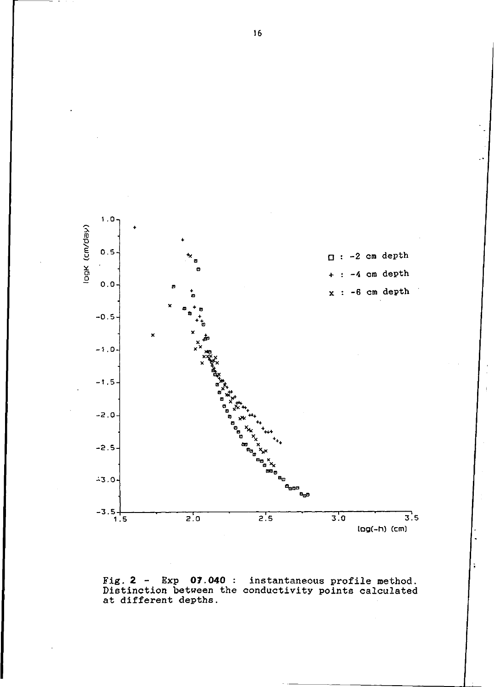

Fig.  $2 - Exp$  07.040 : instantaneous profile method.<br>Distinction between the conductivity points calculated at different depths.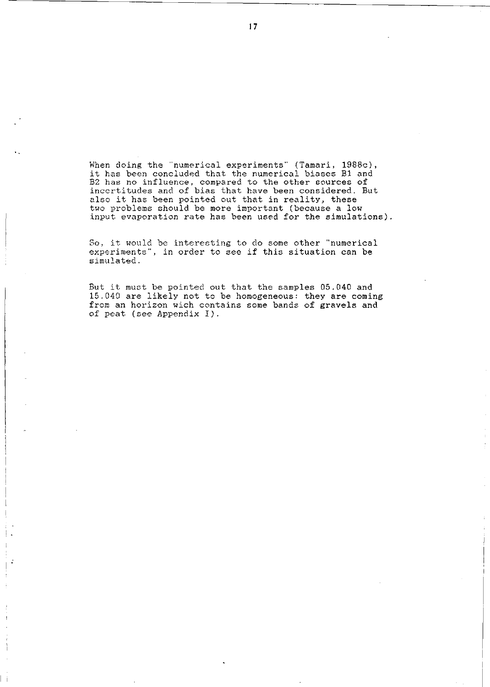When doing the "numerical experiments" (Tamari,  $1$ it has been concluded that the numerical bias B2 has no influence, compared to the other sources of incertitudes and of bias that have been considered. But also it has been pointed out that in reality, these two problems should be more important (because a low input evaporation rate has been used for the simulations)

So, it would be interesting to do some other "numerical experiments", in order to see if this situation can be simulated.

But it must be pointed out that the samples 05.040 and 15.040 are likely not to be homogeneous: they are coming from an horizon wich contains some bands of gravels and of peat (see Appendix I).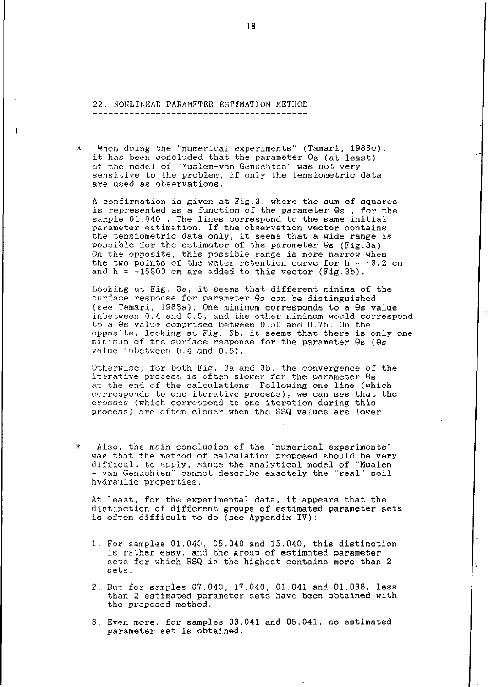22. NONLINEAR PARAMETER ESTIMATION METHOD

 $\star$ 

When doing the "numerical experiments" (Tamari, 1988c), it has been concluded that the parameter Os (at least) of the model of "Mualem-van Genuchten" was not very sensitive to the problem, if only the tensiometric data are used as observations.

A confirmation is given at Fig.3, where the sum of squares is represented as a function of the parameter  $\Theta_{\mathcal{S}}$ , for the sample 01.040 . The lines correspond to the same initial parameter estimation. If the observation vector contains the tensiometric data only, it seems that a wide range is possible for the estimator of the parameter  $\theta$ s (Fig.3a). On the opposite, this possible range ie more narrow when the two points of the water retention curve for  $h = -3.2$  cm and  $h = -15800$  cm are added to this vector (Fig. 3b).

Looking at Fig. 3a, it seems that different minima of the surface response for parameter  $\Theta$ s can be distinguished (see Tamari, 1988a). One minimum corresponds to a inbetween  $0.4$  and  $0.5$ , and the other minimum would c to a  $\Theta$ s value comprised between 0.50 and 0. opposite, looking at Fig. 3b, it seems that there is only one minimum of the surface response for the parameter 9s (9s value inbetween 0.4 and 0.5).

Otherwise, for both Fig. 3a and 3b, the convergence of the iterative process is often slower for the parameter 9s at the end of the calculations. Following one line (which corresponds to one iterative process), we can see that the crosses (which correspond to one iteration during this process) are often closer when the SSQ values are lower.

\* Also, the main conclusion of the "numerical experiments" was that the method of calculation proposed should be very difficult to apply, since the analytical model of "Mualem - van Genuchten" cannot describe exactely the "real" soil hydraulic properties.

At least, for the experimental data, it appears that the distinction of different groups of estimated parameter sets is often difficult to do (see Appendix IV):

- 1. For samples 01.040, 05.040 and 15.040, this distinction is rather easy, and the group of estimated **parameter**  sets for which RSQ is the highest contains more than 2 sets .
- 2. But for samples 07.040, 17.040, 01.041 and 01.038, less than 2 estimated parameter sets have been obtained with the proposed method.
- 3. Even more, for samples 03.041 and 05.041, no estimated parameter set is obtained.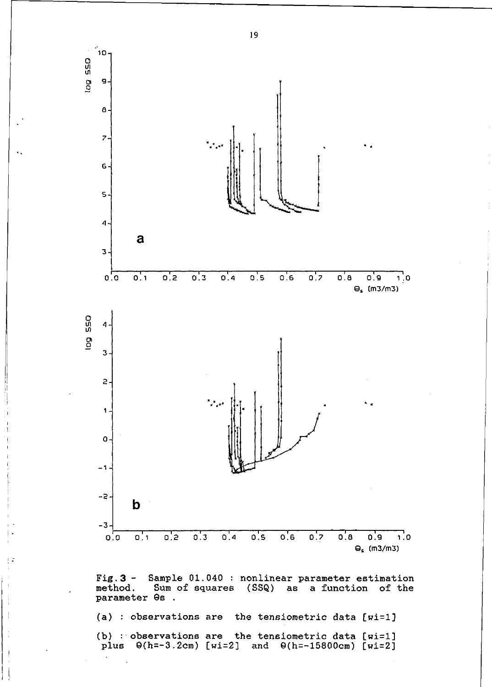

Fig. 3 - Sample 01.040 : nonlinear parameter estimation Sum of squares (SSQ) as a function of the method. parameter  $\theta$ s.

(a) : observations are the tensiometric data [ $wi=1$ ] (b) : observations are the tensiometric data [wi=1]<br>plus  $\Theta(h=-3.2cm)$  [wi=2] and  $\Theta(h=-15800cm)$  [wi=2]

 $\mathfrak{c}$  :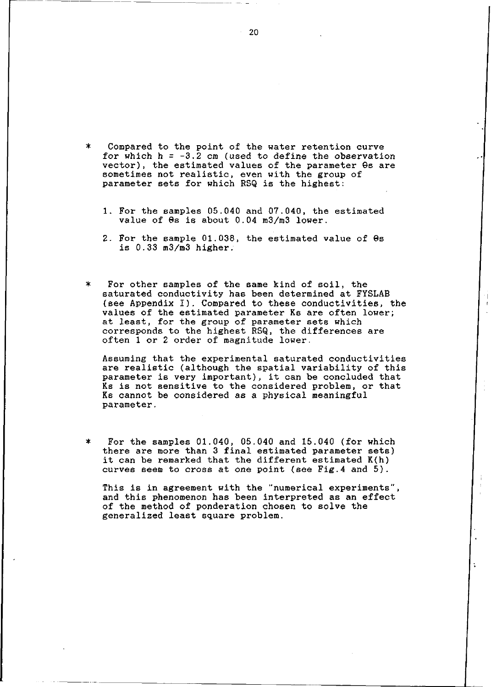- $\star$ Compared to the point of the water retention curve for which  $h = -3.2$  cm (used to define the observation vector), the estimated values of the parameter 9s are sometimes not realistic, even with the group of parameter sets for which RSQ is the highest:
	- For the samples 05.040 and 07.040, the estimated value of 9s is about 0.04 m3/m3 lower.
	- 2. For the sample 01.038, the estimated value of  $\theta$ s is 0.33 m3/m3 higher.
- \* For other samples of the 6ame kind of soil, the saturated conductivity has been determined at FYSLAB (see Appendix I). Compared to these conductivities, the values of the estimated parameter Ks are often lower; at least, for the group of parameter sets which corresponds to the highest RSQ, the differences are often 1 or 2 order of magnitude lower.

Assuming that the experimental saturated conductivities are realistic (although the spatial variability of this parameter is very important), it can be concluded that Ks is not sensitive to the considered problem, or that Ks cannot be considered as a physical meaningful parameter.

 $\star$ For the samples 01.040, 05.040 and 15.040 (for which there are more than 3 final estimated parameter sets) it can be remarked that the different estimated K(h) curves seem to cross at one point (see Fig.4 and 5).

This is in agreement with the "numerical experiments", and this phenomenon has been interpreted as an effect of the method of pondération chosen to solve the generalized least square problem.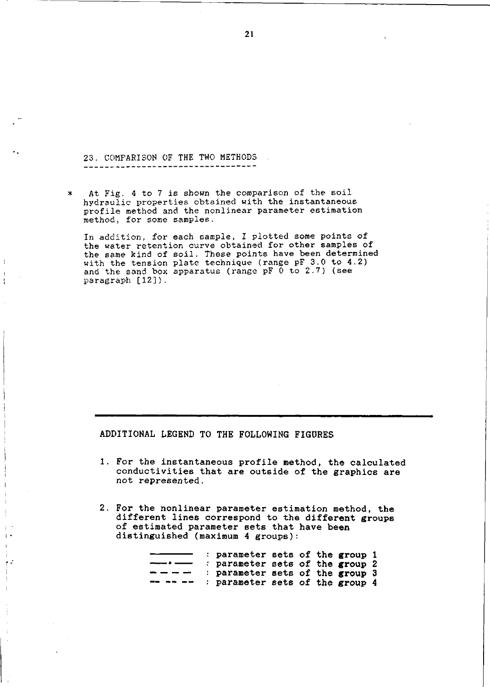23. COMPARISON OF THE TWO METHODS

At Fig. 4 to 7 is shown the comparison of the soil  $\ast$ hydraulic properties obtained with the instantaneous profile method and the nonlinear parameter estimation method, for some samples.

In addition, for each sample, I plotted some points of the water retention curve obtained for other samples of the same kind of soil. These points have been with the tension plate technique (range  $pF_{1}3$ ) and the sand box apparatus (range pF  $0$  t paragraph [12] ) .

### ADDITIONAL LEGEND TO THE FOLLOWING FIGURES

r •

- For the instantaneous profile method, the calculated conductivities that are outside of the graphics are not represented.
- For the nonlinear parameter estimation method, the different lines correspond to the different groups of estimated parameter sets that hav distinguished (maximum 4 group

| _______________                                                                                                                                                                                                                      | : parameter sets of the group 1 |  |  |  |
|--------------------------------------------------------------------------------------------------------------------------------------------------------------------------------------------------------------------------------------|---------------------------------|--|--|--|
| $\overbrace{\hspace{25mm}}^{ \hspace{25mm} \bullet \hspace{25mm} \bullet \hspace{25mm} \bullet \hspace{25mm} \bullet \hspace{25mm} \bullet \hspace{25mm} \bullet \hspace{25mm} \bullet \hspace{25mm} \bullet \hspace{25mm} \bullet}$ | : parameter sets of the group 2 |  |  |  |
|                                                                                                                                                                                                                                      | : parameter sets of the group 3 |  |  |  |
|                                                                                                                                                                                                                                      | : parameter sets of the group 4 |  |  |  |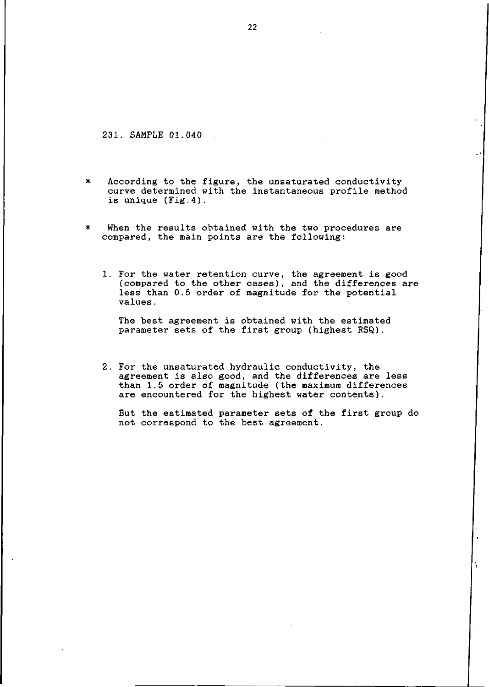231. SAMPLE 01.040  $\sim 10$ 

- According to the figure, the unsaturated conductivity  $\star$ curve determined with the instantaneous profile method is unique (Fig.4).
- $\star$ When the results obtained with the two procedures are compared, the main points are the following:
	- 1. For the water retention curve, the agreemer (compared to the other cases), and the differe less than  $0.5$  order of magnitude for the  $\mathbf p$ values.

The best agreement is obtained with the estimated parameter sets of the first group (highest RSQ).

For the unsaturated hydraulic conductivity, the agreement is also good, and the differences than 1.5 order of magnitude (the maximum diff are encountered for the highest water contents).

But the estimated parameter sets of the first group do not correspond to the best agreement.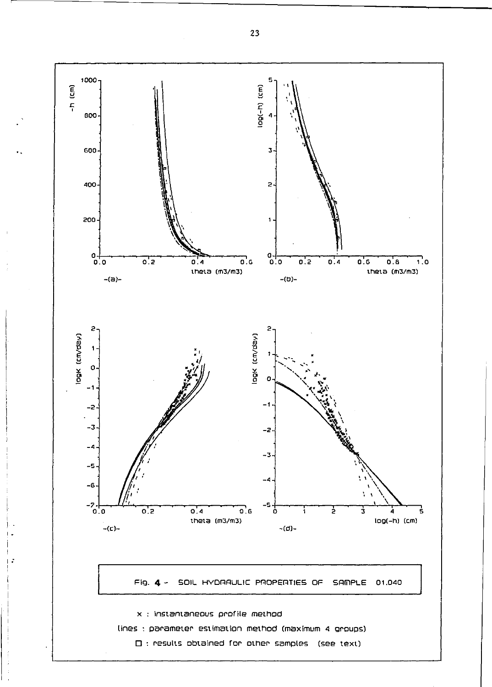

 $\cdot$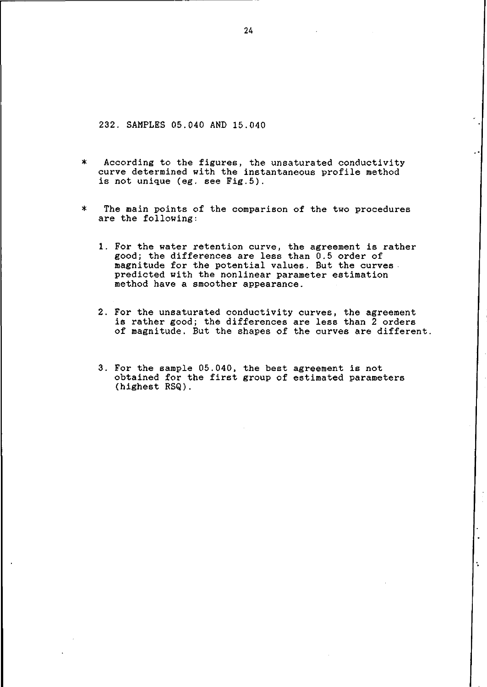232. SAMPLES 05.040 AND 15.040

- $\ast$ According to the figures, the unsaturated conductivity curve determined with the instantaneous profile method is not unique (eg. see Fig.5).
- $\ast$ The main points of the comparison of the two procedures are the following:
	- For the water retention curve, the agreement i good; the differences are less than 0.5 magnitude for the potential values. But the predicted with the nonlinear parameter estimation method have a smoother appearance.
	- 2. For the unsaturated conductivity curves, the agreement is rather good; the differences are less than 2 orders of magnitude. But the shapes of the curves are different,
	- For the sample 05.040, the best agreement is not obtained for the first group of estimated parameters (highest RSQ).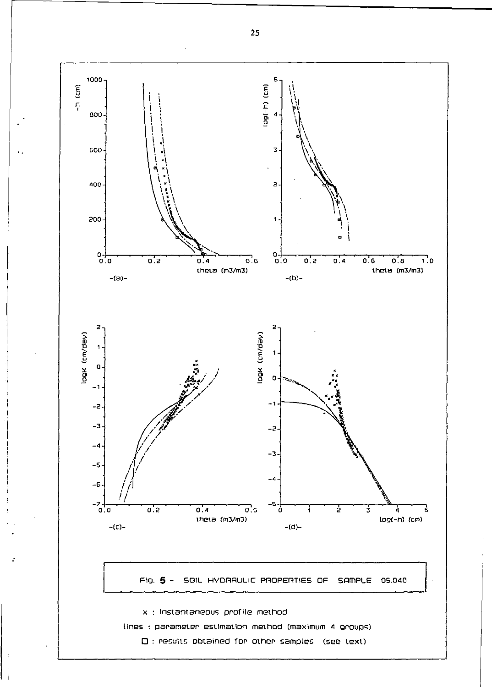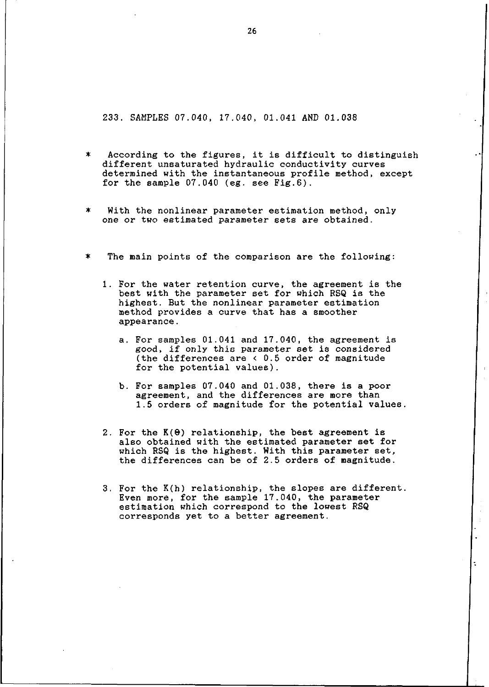233. SAMPLES 07.040, 17.040, 01.041 AND 01.038

- $\star$ According to the figures, it is difficult to distinguish different unsaturated hydraulic conductivity curves determined with the instantaneous profile method, except for the sample 07.040 (eg. see Fig.6).
- $\star$ With the nonlinear parameter estimation method, only one or two estimated parameter sets are obtained.
- The main points of the comparison are the following:  $\star$ 
	- 1. For the water retention curve, the agreement is the best with the parameter set for which RSQ is the highest. But the nonlinear parameter estimation method provides a curve that has a smoother appearance.
		- a. For samples 01.041 and 17.040, the agreement is good, if only this parameter set is considered (the differences are < 0.5 order of magnitude for the potential values).
		- b. For samples 07.040 and 01.038, there is a poor agreement, and the differences are more than 1.5 orders of magnitude for the potential values
	- 2. For the  $K(\Theta)$  relationship, the best agreement is also obtained with the estimated parameter set for which RSQ is the highest. With this parameter set, the differences can be of 2.5 orders of magnitude.
	- 3. For the K(h) relationship, the slopes are different. Even more, for the sample 17.040, the parameter estimation which correspond to the lowest RSQ corresponds yet to a better agreement.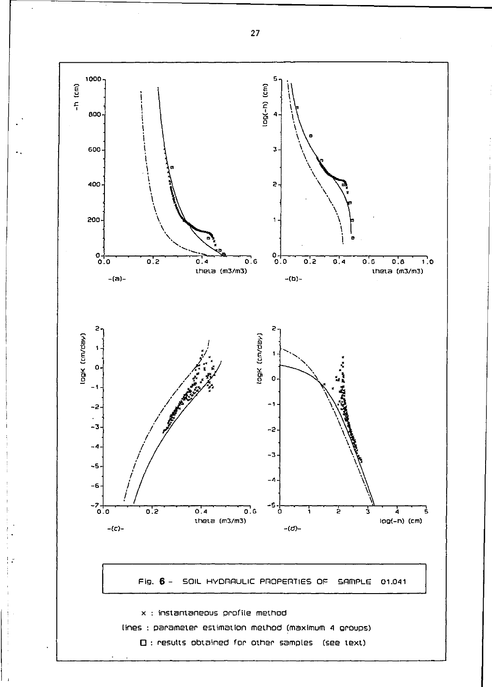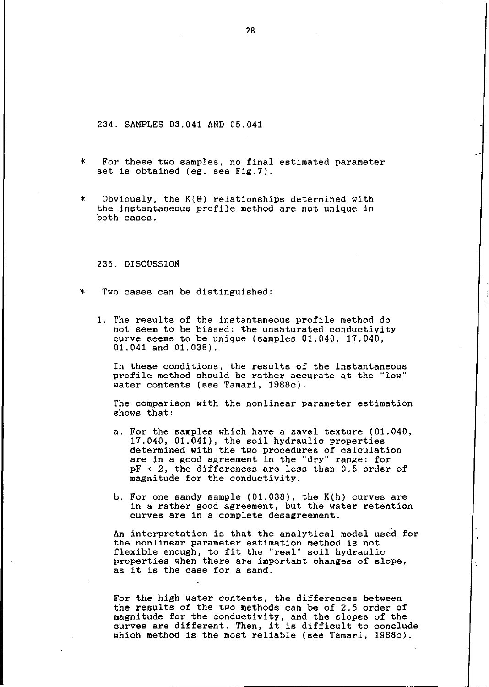234. SAMPLES 03.041 AND 05.041

- \* For these two samples, no final estimated parameter set is obtained (eg. see Fig.7).
- \* Obviously, the  $K(\theta)$  relationships determined with the instantaneous profile method are not unique in both cases.

235. DISCUSSION

- $\star$ Two cases can be distinguished:
	- 1. The results of the instantaneous profile method do not seem to be biased: the unsaturated conductivity curve seems to be unique (samples 01.040, 17.040, 01.041 and 01.038) .

In these conditions, the results of the instantaneous profile method should be rather accurate at the "low" water contents (see Tamari, 1988c).

The comparison with the nonlinear parameter estimation shows that:

- a. For the samples which have a zavel texture (01.040, 17.040, 01.041), the soil hydraulic properties determined with the two procedures of calculation are in a good agreement in the "dry" range: for pF < 2, the differences are less than 0.5 order of magnitude for the conductivity.
- b. For one sandy sample (01.038), the K(h) curves are in a rather good agreement, but the water retention curves are in a complete desagreement.

An interpretation is that the analytical model used for the nonlinear parameter estimation method is not flexible enough, to fit the "real" soil hydraulic properties when there are important changes of slope, as it is the case for a sand.

For the high water contents, the differences between the results of the two methods can be of 2.5 order of magnitude for the conductivity, and the slopes of the curves are different. Then, it is difficult to conclude which method is the most reliable (see Tamari, 1988c).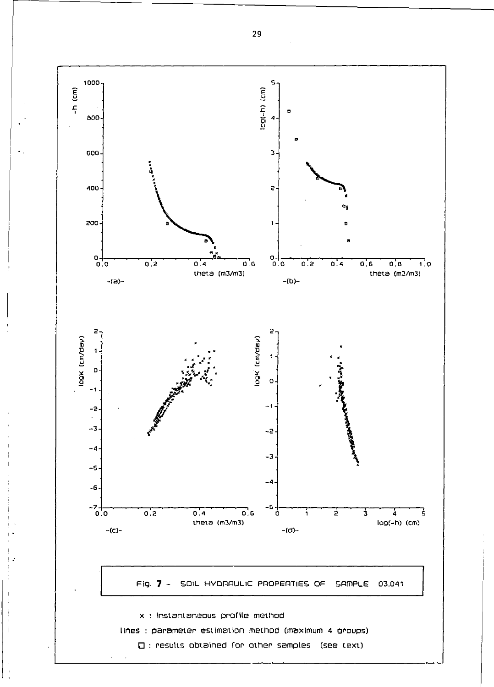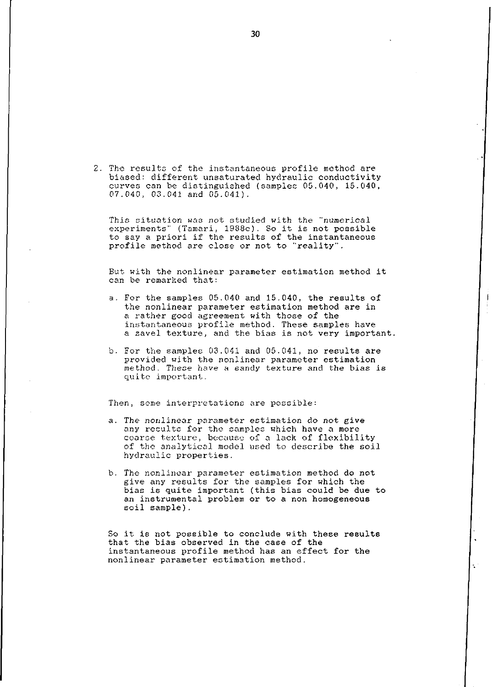2. The results of the instantaneous profile method are biased: different unsaturated hydraulic conductivity curves can be distinguished (samples 05.040, 15.040, 07.040, 03.041 and 05.041).

This situation was not studied with the "numerical experiments" (Tamari, 1988c). So it is not possible to say a priori if the results of the instantaneous profile method are close or not to "reality".

But. with the nonlinear parameter estimation method it can be remarked that:

- a. For the samples 05.040 and 15.040, the results of the nonlinear parameter estimation method  $\imath$ a rather good agreement with those instantaneous profile method. These samples have a zavel texture, and the bias is not very important,
- b. For the samples 03.041 and 05.041, no results are provided with the nonlinear parameter estimation method. These have a sandy texture and the bias is quite important.

Then, some interpretations are possible:

- a. The nonlinear parameter estimation do not give any results for the samples which have a more coarse texture, because of a lack of flexibility of the analytical model used to describe the soil hydraulic properties.
- b. The nonlinear parameter estimation method do not give any results for the samples for which the bias is quite important (this bias could be due to an instrumental problem or to a non homogeneous soil sample).

So it is not possible to conclude with these results that the bias observed in the case of the instantaneous profile method has an effect for the nonlinear parameter estimation method.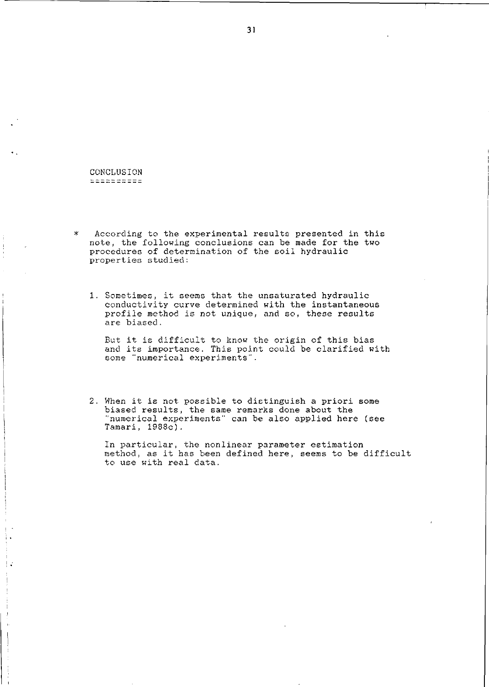CONCLUSION

- \* According to the experimental results presented in this note, the following conclusions can be made for the two procedures of determination of the soil hydraulic properties studied:
	- 1. Sometimes, it seems that the unsaturated hydraulic conductivity curve determined with the instantaneous profile method is not unique, and so, these results are biased.

But it is difficult to know the origin of and its importance. This point could be clarif some "numerical experiments".

2. When it is not possible to distinguish a priori some biased results, the same remarks done about the "numerical experiments" can be also applied here (see Tamari, 1988c).

In particular, the nonlinear parameter estimation method, as it has been defined here, seems to be difficult to use with real data.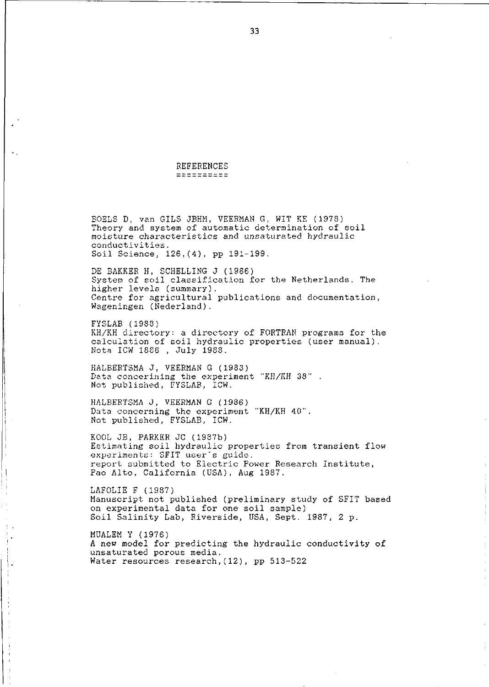### REFERENCES

BOELS D, van GILS JBHM, VEERMAN G, WIT KE (1973) Theory and system of automatic determination of soil moisture characteristics and unsaturated hydraulic conductivities. Soil Science, 126,(4), pp 191-199.

DE BAKKER H, SCHELLING J (1966) System of soil classification for the Netherlands. The higher levels (summary). Centre for agricultural publications and documentation, Wageningen (Nederland).

FYSLAB (1933) KH/KH directory: a directory of FORTRAN programs for the calculation of soil hydraulic properties (user manual). Nota ICW 1636 , July 1933.

KALBERTSMA J, VEERMAN G (1933) Data concerining the experiment "KH/KH 33" . Not. published, FYSLAB, ICW.

HALBERTSMA J, VEERMAN G (1936) Data concerning the experiment "KH/KH 40". Not published, FYSLAB, ICW.

 $\cdot$ 

KOOL JB, PARKER JC (1987b) Estimating soil hydraulic properties from transient flow experiments: SFIT user's guide. report submitted to Electric Power Research Institute, Pao Alto, California (USA), Aug 1987.

LAFOLIE F (1987) Manuscript not published (preliminary study of SFIT based on experimental data for one soil sample) Soil Salinity Lab, Riverside, USA, Sept. 1987, 2 p.

MUALEM Y (1976) A new model for predicting the hydraulic conductivity of unsaturated porous media. Water resources research, (12), pp 513-522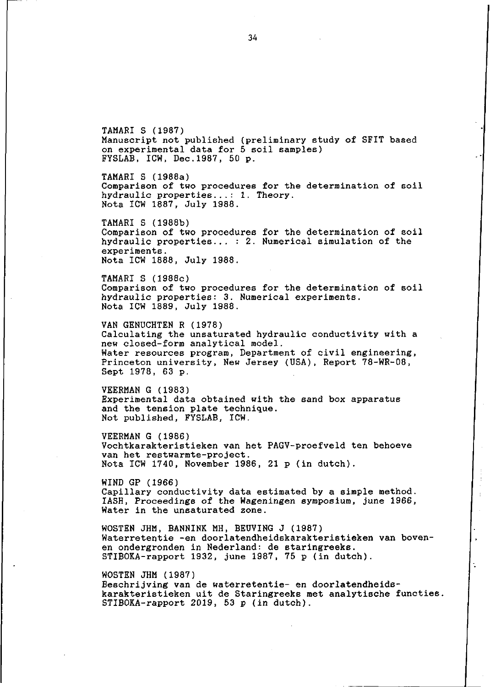TAMARI S (1987) Manuscript not published (preliminary study of SFIT based on experimental data for 5 soil samples) FYSLAB, ICW, Dec.1987, 50 p.

TAMARI S (1988a) Comparison of two procedures for the determination of soil hydraulic properties...: 1. Theory. Nota ICW 1887, July 1988.

TAMARI S (1988b) Comparison of two procedures for the determination of soil hydraulic properties... : 2. Numerical simulation of the experiments. Nota ICW 1888, July 1988.

TAMARI S (1988c) Comparison of two procedures for the determination of soil hydraulic properties: 3. Numerical experiments. Nota ICW 1889, July 1988.

VAN GENUCHTEN R (1978) Calculating the unsaturated hydraulic conductivity  ${\tt new closed-form\ analytical\ mod}$ Water resources program, Department of civil engineering, Princeton university, New Jersey (USA), Report 78-WR-08, Sept 1978, 63 p.

VEERMAN G (1983) Experimental data obtained with the sand box apparatus and the tension plate technique. Not published, FYSLAB, ICW.

VEERMAN G (1986) Vochtkarakteristieken van het PAGV-proefveld ten behoeve van het restwarmte-project. Nota ICW 1740, November 1986, 21 p (in dutch).

WIND GP (1966) Capillary conductivity data estimated by a simple method. IASH, Proceedings of the Wageningen symposium, June 1966, Water in the unsaturated zone.

WOSTEN JHM, BANNINK MH, BEUVING J (1987) Waterretentie -en doorlatendheid6karakteristieken van bovenen ondergronden in Nederland: de staringreeks. STIBOKA-rapport 1932, June 1987, 75 p (in dutch).

WOSTEN JHM (1987) Beschrijving van de waterretentie- en doorlatendheidskarakteristieken uit de Staringreeks met analytische functies STIBOKA-rapport 2019, 53 p (in dutch).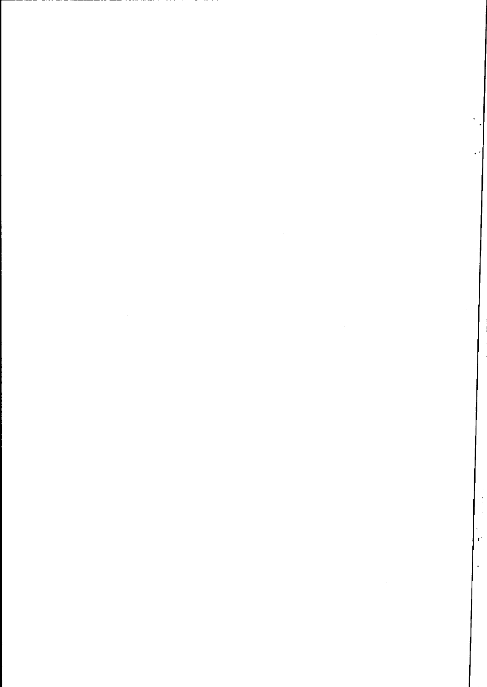$\label{eq:2.1} \frac{1}{\sqrt{2}}\int_{\mathbb{R}^3}\frac{1}{\sqrt{2}}\left(\frac{1}{\sqrt{2}}\int_{\mathbb{R}^3}\frac{1}{\sqrt{2}}\left(\frac{1}{\sqrt{2}}\int_{\mathbb{R}^3}\frac{1}{\sqrt{2}}\right)\frac{1}{\sqrt{2}}\right)\frac{1}{\sqrt{2}}\,d\mu.$  $\mathcal{L}^{\text{max}}_{\text{max}}$  and  $\mathcal{L}^{\text{max}}_{\text{max}}$ 

 $\label{eq:2.1} \frac{1}{\sqrt{2\pi}}\int_{0}^{\infty}\frac{1}{\sqrt{2\pi}}\left(\frac{1}{\sqrt{2\pi}}\right)^{2\alpha} \frac{1}{\sqrt{2\pi}}\int_{0}^{\infty}\frac{1}{\sqrt{2\pi}}\frac{1}{\sqrt{2\pi}}\frac{1}{\sqrt{2\pi}}\frac{1}{\sqrt{2\pi}}\frac{1}{\sqrt{2\pi}}\frac{1}{\sqrt{2\pi}}\frac{1}{\sqrt{2\pi}}\frac{1}{\sqrt{2\pi}}\frac{1}{\sqrt{2\pi}}\frac{1}{\sqrt{2\pi}}\frac{1}{\sqrt{2\pi}}\frac{$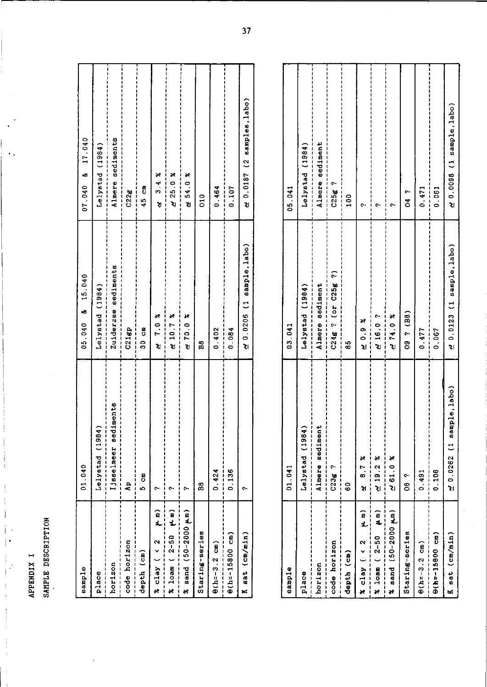APPENDIX I

j.

 $\frac{1}{2}$ j SAMPLE DESCRIPTION

| sample                           | 01.040                   | $05.040$ & 15.040              | $07.040$ & 17.040               |
|----------------------------------|--------------------------|--------------------------------|---------------------------------|
| place                            | Lelystad (1984           | Lelystad (1984)                | Lelystad (1984)                 |
| horizon                          | iments<br>Ijsselmeer sed | Zuiderzee sediments            | Almere sediments                |
| code horizon                     | å                        | <b>C21gp</b>                   | C22g                            |
| depth (cm)                       | 5 cm                     | 30cm                           | 45 cm                           |
| $\hat{H}$<br>% clay ( $\left($ 2 |                          | $x - 7.0x$                     | $x - 3.4$ %                     |
| % loam ( $2-50$ ( $m$ )          |                          | 210.7%                         | $\approx 25.0$ %                |
| % sand (50-2000 An)              |                          | 20.078                         | $\approx$ 54.0 %                |
| Staring-series                   | g<br>B                   | B                              | $\frac{1}{2}$                   |
| $\Theta(h=-3.2 \text{ cm})$      | 0.424                    | 0.402                          | 0.464                           |
| $\Theta(h = -15800 \text{ cm})$  | 0.136                    | 0.084                          | 0.107                           |
| K sat (cm/min)                   |                          | $\leq 0.0206$ (1 sample, labo) | $\leq 0.0187$ (2 samples, labo) |

| sample                                            | 01.041                         | 03.041                                                                                                                                                                                                                                                                                                                       | 05.041                         |
|---------------------------------------------------|--------------------------------|------------------------------------------------------------------------------------------------------------------------------------------------------------------------------------------------------------------------------------------------------------------------------------------------------------------------------|--------------------------------|
|                                                   |                                |                                                                                                                                                                                                                                                                                                                              |                                |
| <br> <br> <br>place                               | Lelystad (1984)                | Lelystad (1984)                                                                                                                                                                                                                                                                                                              | Lelystad (1984)                |
| horizon                                           | Almere sediment                | Almere sediment<br>$\frac{1}{2}$ = $\frac{1}{2}$ = $\frac{1}{2}$ = $\frac{1}{2}$ = $\frac{1}{2}$ = $\frac{1}{2}$ = $\frac{1}{2}$ = $\frac{1}{2}$ = $\frac{1}{2}$ = $\frac{1}{2}$ = $\frac{1}{2}$ = $\frac{1}{2}$ = $\frac{1}{2}$ = $\frac{1}{2}$ = $\frac{1}{2}$ = $\frac{1}{2}$ = $\frac{1}{2}$ = $\frac{1}{2}$ = $\frac{1$ | Almere sediment                |
| code horizon                                      | C23g ?                         | C24g ? (or C25g ?)                                                                                                                                                                                                                                                                                                           | $C25g$ ?                       |
| depth (cm)                                        | eo                             | 88                                                                                                                                                                                                                                                                                                                           | i<br>100                       |
| $f_{n}$<br>$x \rightarrow 1$ ay ( $\rightarrow 2$ | $\tilde{x}$ 2 3 $\tilde{x}$    | 20.9%                                                                                                                                                                                                                                                                                                                        |                                |
| % loam ( $2-50$ $(\mu n)$                         | $\sim 19.2$ %                  | $M$ 16.0?                                                                                                                                                                                                                                                                                                                    |                                |
| % sand (50-2000 Am)                               | $\frac{2}{5}$ 61.0 %           | 24.08                                                                                                                                                                                                                                                                                                                        | ᡐ                              |
| Staring-series                                    | 08 ?                           | $(188)$ ? $(188)$                                                                                                                                                                                                                                                                                                            | 24.7                           |
| $\theta(h=-3.2 \text{ cm})$                       | 0.491                          | 0.477                                                                                                                                                                                                                                                                                                                        | 0.471                          |
| $\Theta(h=-15000 \text{ cm})$                     | 0.106                          | 0.067                                                                                                                                                                                                                                                                                                                        | 0.061                          |
| K sat (cm/min)                                    | $\leq 0.0262$ (1 sample, labo) | $\leq 0.0123$ (1 sample, labo)                                                                                                                                                                                                                                                                                               | $\geq 0.0098$ (1 sample, labo) |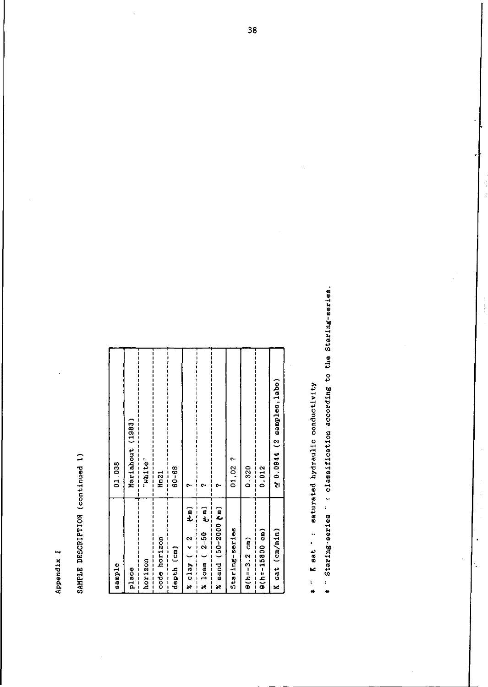### Appendix I

### SAMPLE DESCRIPTION (continued 1)

| sample                                    | 01.038                          |
|-------------------------------------------|---------------------------------|
| place                                     | Mariahout (1983)                |
| horizon                                   | "white"                         |
| code horizon                              | Hn21                            |
| depth (cm)                                | 60-68                           |
| (mサ)<br>% clay $( < 2$                    |                                 |
| $\mathbf{t}$<br>$x \text{ loan}$ ( $2-50$ |                                 |
| sand (50-2000 Mm)<br>×                    |                                 |
| Staring-series                            | $01,02$ ?                       |
| $\Theta(h=-3.2 \text{ cm})$               | 0.320                           |
| $Q(h=-15800 \text{ cm})$                  | 0.012                           |
| sat (cn/min)<br>$\approx$                 | $\sim 0.0944$ (2 samples, labo) |
|                                           |                                 |

# \* " K sat " : saturated hydraulic conductivity

\* "Staring-series " : classification according to the Staring-series.

 $\begin{array}{c} 1 \\ 1 \\ 1 \end{array}$ 

 $\ddot{\phantom{0}}$ 

 $\ddot{\cdot}$ 

 $\ddot{\cdot}$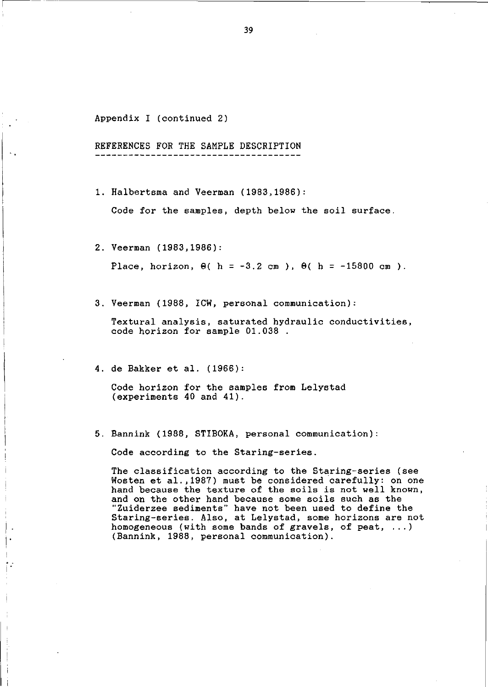Appendix I (continued 2)

REFERENCES FOR THE SAMPLE DESCRIPTION 

1. Halbertsma and Veerman (1983,1986):

Code for the samples, depth below the soil surface.

2. Veerman (1983,1986):

Place, horizon,  $\theta$ ( h = -3.2 cm ),  $\theta$ ( h = -15800 cm ).

3. Veerman (1988, ICW, personal communication):

Textural analysis, saturated hydraulic conductivities, code horizon for sample 01.038 .

4. de Bakker et al. (1966):

Code horizon for the samples from Lelystad (experiments 40 and 41).

5. Bannink (1988, STIBOKA, personal communication):

Code according to the Staring-series.

The classification according to the Staring-series (see Wosten et al.,1987) must be considered carefully: on one hand because the texture of the soils is not well known, and on the other hand because some soils such as the "Zuiderzee sediments" have not been used to de Staring-series. Also, at Lelystad, some horizons homogeneous (with some bands of gravels, of peat, ...) (Bannink, 1988, personal communication).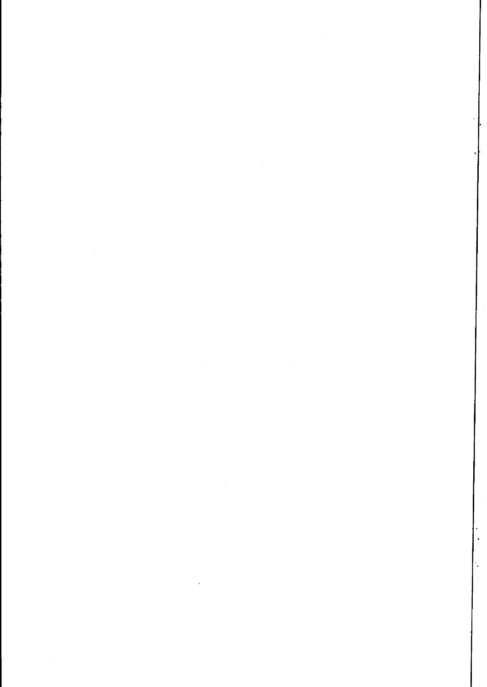$\label{eq:2.1} \frac{1}{\sqrt{2}}\int_{\mathbb{R}^3}\frac{1}{\sqrt{2}}\left(\frac{1}{\sqrt{2}}\right)^2\frac{1}{\sqrt{2}}\left(\frac{1}{\sqrt{2}}\right)^2\frac{1}{\sqrt{2}}\left(\frac{1}{\sqrt{2}}\right)^2\frac{1}{\sqrt{2}}\left(\frac{1}{\sqrt{2}}\right)^2.$ 

 $\label{eq:2.1} \frac{1}{\sqrt{2}}\left(\frac{1}{\sqrt{2}}\right)^{2} \left(\frac{1}{\sqrt{2}}\right)^{2} \left(\frac{1}{\sqrt{2}}\right)^{2} \left(\frac{1}{\sqrt{2}}\right)^{2} \left(\frac{1}{\sqrt{2}}\right)^{2} \left(\frac{1}{\sqrt{2}}\right)^{2} \left(\frac{1}{\sqrt{2}}\right)^{2} \left(\frac{1}{\sqrt{2}}\right)^{2} \left(\frac{1}{\sqrt{2}}\right)^{2} \left(\frac{1}{\sqrt{2}}\right)^{2} \left(\frac{1}{\sqrt{2}}\right)^{2} \left(\$ 

 $\label{eq:2.1} \frac{1}{\sqrt{2\pi}}\int_{\mathbb{R}^3}\frac{1}{\sqrt{2\pi}}\left(\frac{1}{\sqrt{2\pi}}\right)^2\frac{1}{\sqrt{2\pi}}\int_{\mathbb{R}^3}\frac{1}{\sqrt{2\pi}}\frac{1}{\sqrt{2\pi}}\frac{1}{\sqrt{2\pi}}\frac{1}{\sqrt{2\pi}}\frac{1}{\sqrt{2\pi}}\frac{1}{\sqrt{2\pi}}\frac{1}{\sqrt{2\pi}}\frac{1}{\sqrt{2\pi}}\frac{1}{\sqrt{2\pi}}\frac{1}{\sqrt{2\pi}}\frac{1}{\sqrt{2\pi}}\frac{$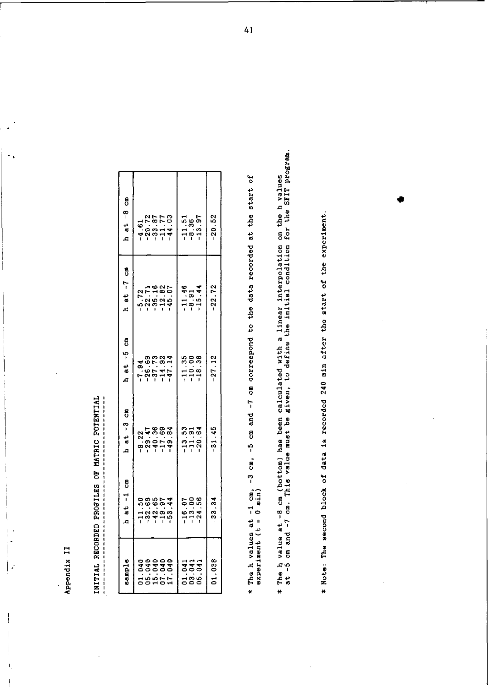Appendix II

 $\frac{1}{1}$ 

J.

| ・・・・・・・・・ |   |
|-----------|---|
| らじんしくしょく  |   |
|           | ł |

| sample                               | h at -1 cm                                                   | h at -3 cm                                                          | h at -5 cm                                              | h at -7 cm                                             | h at -8 cm                                              |
|--------------------------------------|--------------------------------------------------------------|---------------------------------------------------------------------|---------------------------------------------------------|--------------------------------------------------------|---------------------------------------------------------|
|                                      |                                                              |                                                                     |                                                         |                                                        |                                                         |
|                                      | $-1.59$<br>$-3.69$<br>$-1.32$<br>$-1.9$<br>$-1.53$<br>$-5.3$ | $-9.22$<br>$-29.47$<br>$-17.69$<br>$-17.89$<br>$-17.89$<br>$-49.84$ | $-7.94$<br>$-26.73$<br>$-37.92$<br>$-14.92$<br>$-47.14$ | $-5.72$<br>$-2.71$<br>$-35.16$<br>$-12.82$<br>$-15.07$ | $-4.61$<br>$-20.72$<br>$-33.77$<br>$-11.77$<br>$-14.03$ |
|                                      |                                                              |                                                                     |                                                         |                                                        |                                                         |
|                                      |                                                              |                                                                     |                                                         |                                                        |                                                         |
| 01.040<br>05.040<br>07.040<br>07.040 |                                                              |                                                                     |                                                         |                                                        |                                                         |
|                                      |                                                              |                                                                     |                                                         |                                                        |                                                         |
| 01.041<br>03.041<br>05.041           | $-16.07$<br>$-13.56$<br>$-24.56$                             | $-13.53$<br>$-11.54$<br>$-20.64$                                    | $-11.35$<br>$-10.38$<br>$-11.38$                        | $-11.46$<br>$-8.91$<br>$-15.44$                        | $\frac{-11.51}{-8.36}$<br>$-13.97$                      |
|                                      |                                                              |                                                                     |                                                         |                                                        |                                                         |
| 01.038                               | $-33.34$                                                     | $-31.45$                                                            | $-27.12$                                                | $-22.72$                                               | $-20.52$                                                |
|                                      |                                                              |                                                                     |                                                         |                                                        |                                                         |

- \* The h values at -1 cm, -3 cm, -5 cm and -7 cm correspond to the data recorded at the start of<br>experiment (t = 0 min)
- \* The h value at -8 cm (bottom) has been calculated with a linear interpolation on the h values<br>at -5 cm and -7 cm. This value must be given, to define the initial condition for the SFIT program.

\* Note: The second block of data is recorded 240 min after the start of the experiment.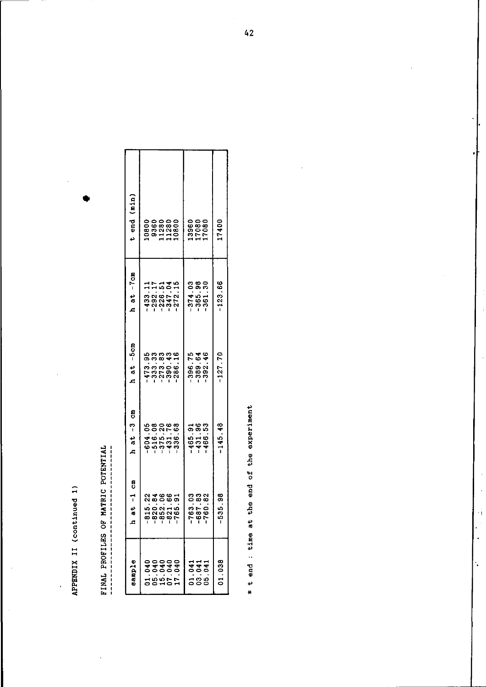APPENDIX II (continued 1)

 $\overline{1}$ 

FINAL PROFILES OF MATRIC POTENTIAL

| sample                                 | $at -1 cm$<br>A                                               | h at -3 cm                                                         | h at -5cm                                                   | h at -7cm                                                     | t end (min)                             |
|----------------------------------------|---------------------------------------------------------------|--------------------------------------------------------------------|-------------------------------------------------------------|---------------------------------------------------------------|-----------------------------------------|
|                                        |                                                               |                                                                    |                                                             |                                                               |                                         |
| 01.040<br>05.0400<br>05.0400<br>07.040 | $-815.22$<br>$-820.84$<br>$-852.06$<br>$-852.66$<br>$-765.91$ | $-604, 05$<br>$-516, 20$<br>$-375, 20$<br>$-431, 76$<br>$-436, 68$ | - 473.95<br>- 333.93<br>- 333.93.95<br>- 396.16<br>- 285.16 | $-433.11$<br>$-232.17$<br>$-226.51$<br>$-347.04$<br>$-347.15$ | 000000<br>0000000<br>0011100<br>0011100 |
|                                        |                                                               |                                                                    |                                                             |                                                               |                                         |
|                                        |                                                               | $-465.91$<br>$-431.96$<br>$-466.53$                                | $-396.75$<br>$-389.64$<br>$-392.46$                         | $-374.03$<br>$-365.98$<br>$-361.30$                           | 13960<br>17080<br>17080                 |
| $01.041$<br>$03.041$<br>$05.041$       | $-763.03$<br>$-687.83$<br>$-760.82$                           |                                                                    |                                                             |                                                               |                                         |
| 01.038                                 | $-535.98$                                                     | $-145.48$                                                          | $-127.70$                                                   | $-123.66$                                                     | 17400                                   |

\* t end : time at the end of the experiment

l,

÷j .  $\ddot{\phantom{0}}$ 

 $\ddot{\phantom{0}}$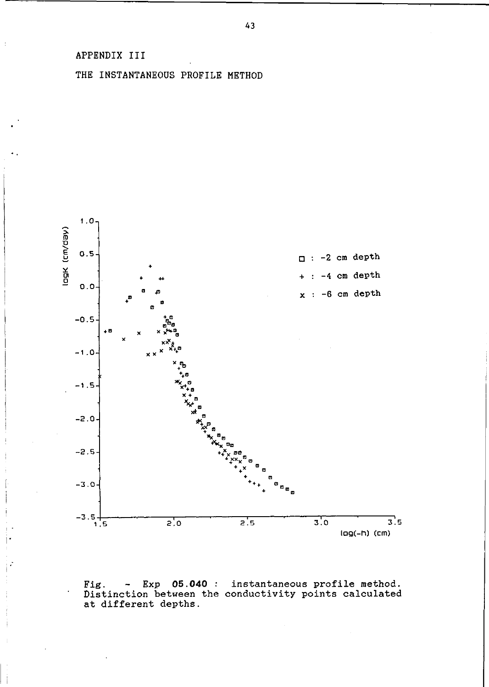### APPENDIX III

THE INSTANTANEOUS PROFILE METHOD



Fig. - Exp 05.040 : instantaneous profile method.<br>Distinction between the conductivity points calculated<br>at different depths.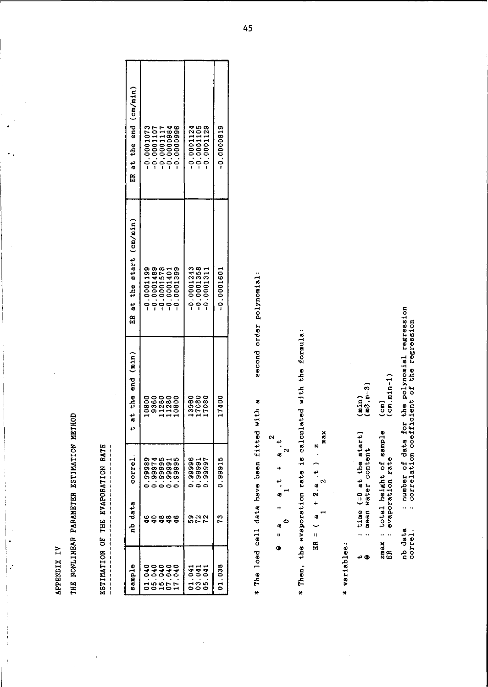APPENDIX IV

 $\cdot$ 

 $\frac{1}{2}$ 

## THE NONLINEAR PARAMETER ESTIMATION METHOD

ESTIMATION OF THE EVAPORATION RATE  $\begin{array}{c}\n1 \\
1 \\
1 \\
1\n\end{array}$ 

| sample                                       | nb data                                 | correl.                                        | at the end (min)<br>د                   | ER at the start (cm/min)                                                    | ER at the end (cm/min)                                                       |
|----------------------------------------------|-----------------------------------------|------------------------------------------------|-----------------------------------------|-----------------------------------------------------------------------------|------------------------------------------------------------------------------|
| 040<br>040000<br>05.0400<br>07.040<br>07.040 | 98<br>\$<br>$\ddot{ }$<br>$\frac{6}{5}$ | 99989<br>99974<br>99995<br>99995<br>89991<br>Ó | 000000<br>0000000<br>0011100<br>0011100 | $-0.000199$<br>$-0.0001489$<br>$-0.0001578$<br>$-0.0001578$<br>$-0.0001401$ | $-0.0000996$<br>$-0.0001007$<br>$-0.0001107$<br>$-0.0001107$<br>$-0.0001107$ |
| 01.041<br>03.041<br>05.041                   | 922<br>922                              | 99996<br>99997<br>99997                        | 13960<br>17080<br>17080                 | $-0.0001243$<br>$-0.0001358$<br>$-0.0001311$                                | $-0.0001124$<br>$-0.0001105$<br>$-0.0001123$                                 |
| 01.038                                       | ٣                                       | 0.99915                                        | 17400                                   | $-0.0001601$                                                                | $-0.00000019$                                                                |

second order polynomial: \* The load cell data have been fitted with a

$$
= a + a + b + a + c
$$
  
0 + 1 + 2

 $\Phi$ 

\* Then, the evaporation rate is calculated with the formula:

$$
ER = (a + 2.a. t) . z
$$
  
1 2 2 max

\* variables:

 $\begin{array}{c} \text{(cm)} \\ \text{(cm. min-1)} \end{array}$  $(m1n)$ <br>(m3.m-3) zmax : total height of sample<br>ER : evaporation rate : time (=0 at the start)<br>: mean water content  $\ddot{\bullet}$ 

: number of data for the polynomial regression<br>: correlation coefficient of the regression nb data<br>correl.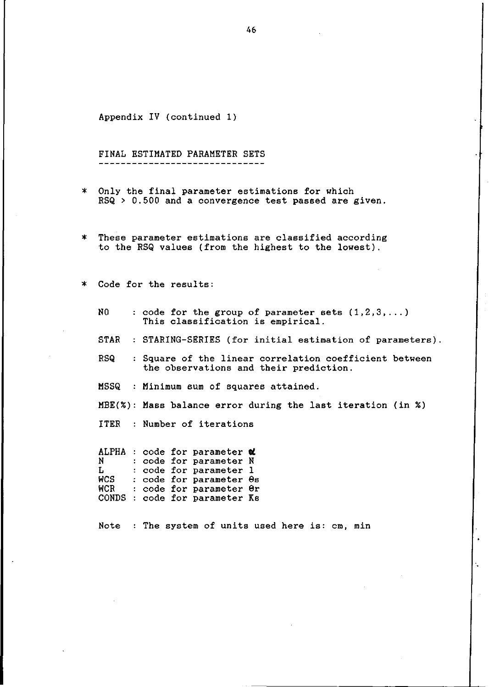Appendix IV (continued 1)

FINAL ESTIMATED PARAMETER SETS

- \* Only the final parameter estimations for which RSQ > 0.500 and a convergence test passed are given.
- \* These parameter estimations are classified according to the RSQ values (from the highest to the lowest).

\* Code for the results

- NO : code for the group of parameter sets  $(1,2,3,...)$ This classification is empirical.
- STAR : STARING-SERIES (for initial estimation of parameters).
- RSQ Square of the linear correlation coefficient between the observations and their prediction.

MSSQ Minimum sum of squares attained.

MBE(%): Mass balance error during the last iteration (in %)

ITER : Number of iterations

ALPHA : code for parameter **a** N L WCS **WCR** CONDS code for parameter Ks code for parameter N code for parameter 1 code for parameter <del>O</del>s code for parameter 9r

Note : The system of units used here is: cm, min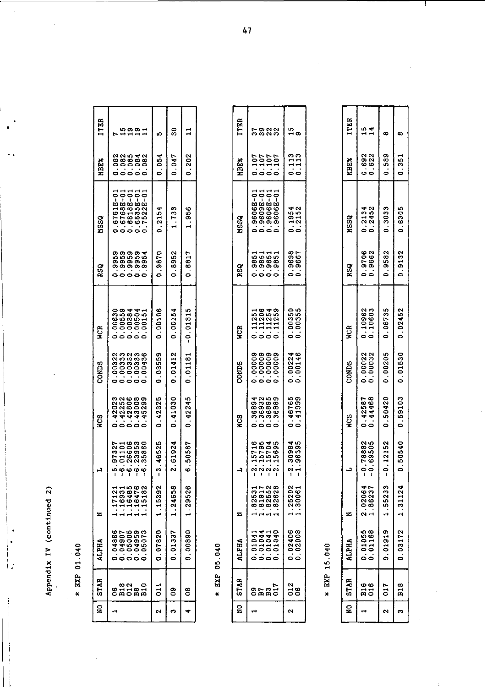Appendix IV (continued 2)

ł  $\ddot{\phantom{0}}$ ł

 $\mathbf{L}$ 

\* EXP 01.040

| $\frac{1}{2}$                 | <b>STAR</b> | <b>ALPHA</b>      |                                           | ĥ,                                     | ЯCS             | <b>CONDS</b>        | <b>WCR</b>                                           | RSQ                                   | <b>MSSQ</b>                                                                                | <b>MBE%</b>                           | ITER         |
|-------------------------------|-------------|-------------------|-------------------------------------------|----------------------------------------|-----------------|---------------------|------------------------------------------------------|---------------------------------------|--------------------------------------------------------------------------------------------|---------------------------------------|--------------|
|                               |             |                   |                                           |                                        |                 |                     |                                                      |                                       | 0.6761E-01                                                                                 |                                       |              |
| ូ <b>និង</b><br>ខិដ្ឋី និដ្ឋី |             |                   | 1.17121<br>1.16931<br>1.164476<br>1.15182 | $-5.97327$<br>$-6.01101$<br>$-6.26606$ |                 |                     | 0.00630<br>0.005584<br>0.00384<br>0.00504<br>0.00151 | 000001<br>0000000<br>0000000<br>00000 |                                                                                            | 88884888888888888<br>0000000<br>00000 |              |
|                               |             |                   |                                           |                                        |                 |                     |                                                      |                                       | $\begin{array}{c} 0.6768\text{E}-01 \\ 0.6818\text{E}-01 \\ 0.6835\text{E}-01 \end{array}$ |                                       | <u>ითთ</u>   |
|                               |             |                   |                                           | $-6.23953$<br>$-6.35860$               |                 |                     |                                                      |                                       |                                                                                            |                                       |              |
|                               |             |                   |                                           |                                        |                 |                     |                                                      |                                       | $0.7522E - 01$                                                                             |                                       | $\mathbf{I}$ |
| $\frac{1}{10}$                |             | $0.07820$ 1.15392 |                                           | 3.46525                                | 0.42325         | 0.03559             | 0.00106                                              | 0.9870                                | 0.2154                                                                                     | 0.054                                 |              |
| 8                             |             |                   | $0.01337$ 1.24658                         |                                        | 2.61024 0.41030 | 0.01412             | 0.00154                                              | 0.8952                                | 1733                                                                                       | 0.047                                 | ă            |
| $\frac{1}{30}$                |             | 0.00890 1.29526   |                                           | 6.50587                                | 0.42245         | $0.01181 - 0.01315$ |                                                      | 0.8817                                | 1.956                                                                                      | 0.202                                 | $\mathbf{1}$ |
|                               |             |                   |                                           |                                        |                 |                     |                                                      |                                       |                                                                                            |                                       |              |

\* EXP 05.040

| NO STAR                                   | <b>ALPHA</b>                             |                                          |                                          | 9.JM                     | <b>SONOS</b>               | <b>ACR</b>                                          | <b>BSQ</b>                    | <b>MSSQ</b>                      | <b>ABE%</b>                         | <b>TER</b>              |
|-------------------------------------------|------------------------------------------|------------------------------------------|------------------------------------------|--------------------------|----------------------------|-----------------------------------------------------|-------------------------------|----------------------------------|-------------------------------------|-------------------------|
|                                           |                                          |                                          |                                          |                          |                            |                                                     |                               |                                  |                                     |                         |
|                                           |                                          |                                          |                                          | 4<br>6893<br>6898<br>689 |                            |                                                     |                               |                                  |                                     |                         |
| <b>2584</b><br>284                        | 0.01041<br>0.01044<br>0.01041<br>0.01040 | 1.82531<br>1.81917<br>1.82552<br>1.82628 | 15716<br>15794<br>15704<br>15695<br>~~~~ |                          | 888888<br>000000<br>000000 | 11251<br>11206<br>11259<br>11259<br>$\ddot{\sigma}$ | 0<br>000000<br>00000<br>00000 | 9606E-01<br>9609E-01<br>9606E-01 | 07107<br>001107<br>001107<br>001107 | 70000<br>7000           |
|                                           |                                          |                                          |                                          | 36889                    |                            |                                                     |                               | 9606E-01                         |                                     |                         |
| $\begin{array}{c} 0.2 \\ 0.8 \end{array}$ | 0.02406<br>0.02008                       | 1.25202<br>1.30061                       | 30984<br>96395<br>ျ                      | 0.46765<br>0.41999       | 0.00224<br>0.00146         | 0.00350<br>0.00355                                  | 9698<br>9667                  | 0.1954<br>0.2152                 | 0.113<br>0.113                      | $\overline{\mathbf{c}}$ |

\* EXP 15.040

| NO   STAR       | <b>ALPHA</b>       | z                 |                     | 3<br>K             | CONDS              | EX<br>X            | RSQ              | <b>MSSQ</b>                | <b>MBEX</b>         | <b>TTER</b> |
|-----------------|--------------------|-------------------|---------------------|--------------------|--------------------|--------------------|------------------|----------------------------|---------------------|-------------|
| 816<br>016<br>  | 0.01055<br>0.01168 | .86237<br>2.02064 | 78882<br>69505<br>ł | 0.42587<br>0.44468 | 0.00032<br>0.00032 | 0.10962<br>0.10603 | 0.9706<br>0.9662 | 0.2134<br>0.2452<br>0.2452 | 0.62<br>0.62<br>0.0 |             |
| $\overline{10}$ | 0.01919            | 1.55233           | 12152               | 0.50420            | 0.00205            | 0.08735            | 0.9582           | 0.3033                     | 0.589               |             |
| B18             |                    | $0.03172$ 1.31124 | 50540               | 0.59103            | 0.01530            | 0.02452            | 0.9132           | 0.6305                     | 0.351               |             |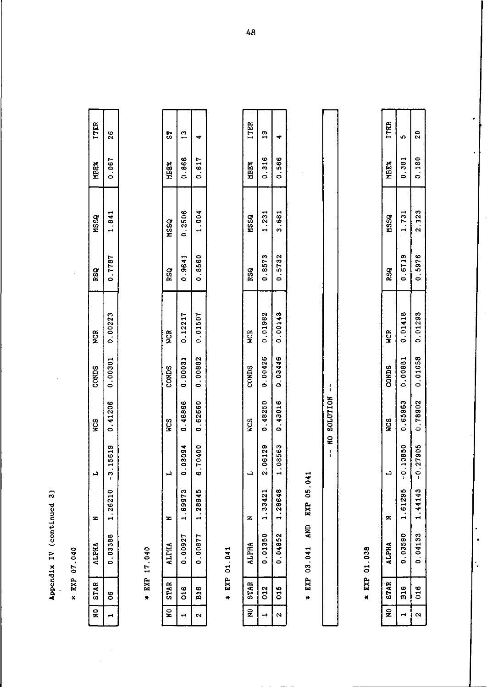Appendix IV (continued 3)

\* EXP 07.040

 $\ddot{\phantom{0}}$ 

 $\ddot{\phantom{0}}$ 

| ITER         | 26         |  |
|--------------|------------|--|
| <b>4B8%</b>  | .067       |  |
| <b>MSSQ</b>  | .841       |  |
| RSQ          | 7787       |  |
| <b>ACR</b>   | 0.00223    |  |
| <b>CONDS</b> | .00301     |  |
| ပ္မွ         | .41206     |  |
| ١            | $-3.15619$ |  |
|              | 26210      |  |
| VHd 1        | 03388      |  |
| <b>STAR</b>  |            |  |
|              |            |  |

\* EXP 17.040

| NO   STAR     | <b>ALPHA</b> |        |         | <b>ACS</b> | <b>CONDS</b> | <b>RCR</b> | RSQ   | <b>MSSQ</b> | <b>MBBX</b> | 59<br>S      |
|---------------|--------------|--------|---------|------------|--------------|------------|-------|-------------|-------------|--------------|
| $\frac{6}{5}$ | .00927       | 89973  | 0.03094 | 0.46866    | 0.00031      | 0.12217    | .9641 | 0.2506      | .866        | $\mathbf{r}$ |
| B16           | .00877       | .28945 | 6.70400 | .62660     | 0.00882      | 0.01507    | ,8560 | 1.004       | <b>S17</b>  |              |

\* EXP 01.041

| $\tilde{\mathbf{z}}$ | <b>STAR</b>   | <b>AHRLA</b> | z      |       | ပ္သိ   | <b>SONO</b> | <b>CR</b> | <b>RSQ</b> | <b>MSSQ</b> | <b>MBEX</b> | ITER |
|----------------------|---------------|--------------|--------|-------|--------|-------------|-----------|------------|-------------|-------------|------|
|                      | $\frac{2}{5}$ | 0.350        | .33421 | 06129 | .48250 | 1.00426     | 0.01982   | .8573      | <b>1231</b> | 0.316       |      |
|                      | 5<br>5        | .04852       | .28648 | 08563 | 143016 | 0.03446     | 0.00143   | 5732       | .681        | .566        |      |
|                      |               |              |        |       |        |             |           |            |             |             |      |

\* EXP 03.041 AND EXP 05.041

-- NO SOLUTION --

\* EXP 01.038

| NO STAR    | <b>ARPITA</b> | z        | ٥          | ro<br>S | <b>SGNOS</b> | č       | တ္တိ   | <b>MSSQ</b> | <b>1BE%</b>     | ITER |
|------------|---------------|----------|------------|---------|--------------|---------|--------|-------------|-----------------|------|
| B16        | .03590        | .61295   | $-0.10850$ | 1.65963 | 1,00881      | 0.01418 | 0.6719 | 1.731       | $\frac{38}{2}$  |      |
| <b>016</b> | $-04133$      | $-44143$ | $-0.27905$ | T8902   | 1.01058      | .01293  | 5976   | 2.123       | $\frac{180}{1}$ |      |

 $\bullet$ 

 $\ddot{\phantom{0}}$ 

 $\ddot{\cdot}$ 

 $\ddot{\cdot}$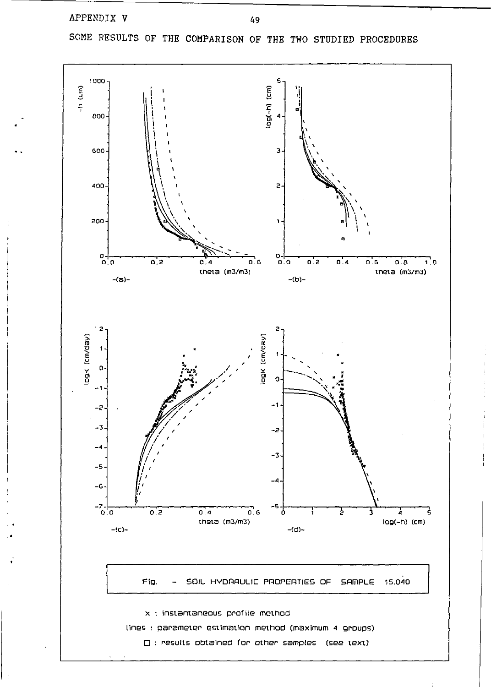### APPENDIX V

49

SOME RESULTS OF THE COMPARISON OF THE TWO STUDIED PROCEDURES

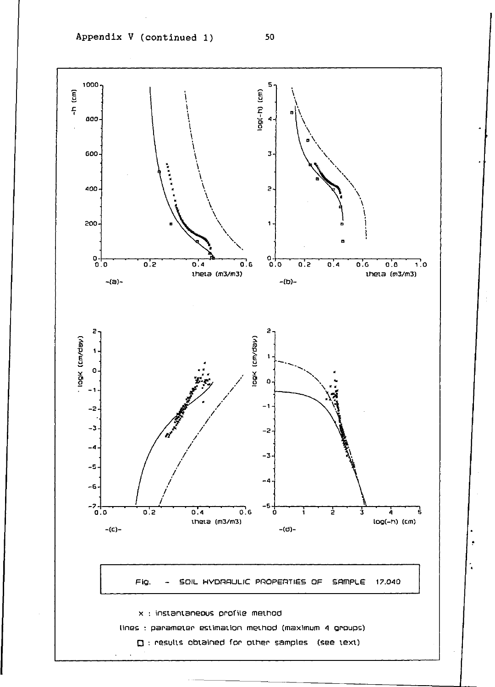Appendix V (continued 1) 50

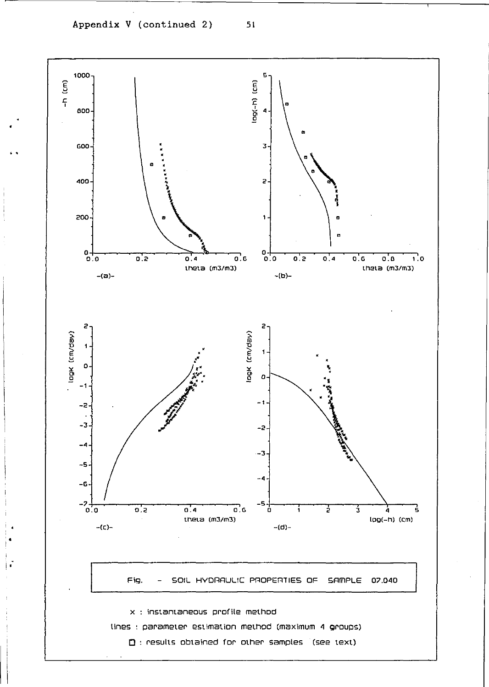Appendix V (continued 2)